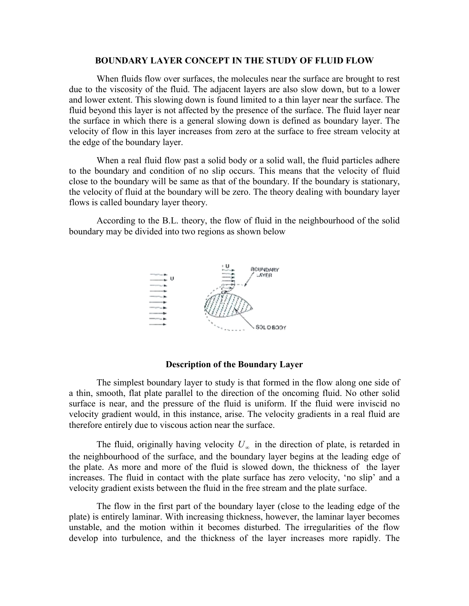#### **BOUNDARY LAYER CONCEPT IN THE STUDY OF FLUID FLOW**

When fluids flow over surfaces, the molecules near the surface are brought to rest due to the viscosity of the fluid. The adjacent layers are also slow down, but to a lower and lower extent. This slowing down is found limited to a thin layer near the surface. The fluid beyond this layer is not affected by the presence of the surface. The fluid layer near the surface in which there is a general slowing down is defined as boundary layer. The velocity of flow in this layer increases from zero at the surface to free stream velocity at the edge of the boundary layer.

When a real fluid flow past a solid body or a solid wall, the fluid particles adhere to the boundary and condition of no slip occurs. This means that the velocity of fluid close to the boundary will be same as that of the boundary. If the boundary is stationary, the velocity of fluid at the boundary will be zero. The theory dealing with boundary layer flows is called boundary layer theory.

According to the B.L. theory, the flow of fluid in the neighbourhood of the solid boundary may be divided into two regions as shown below



#### **Description of the Boundary Layer**

The simplest boundary layer to study is that formed in the flow along one side of a thin, smooth, flat plate parallel to the direction of the oncoming fluid. No other solid surface is near, and the pressure of the fluid is uniform. If the fluid were inviscid no velocity gradient would, in this instance, arise. The velocity gradients in a real fluid are therefore entirely due to viscous action near the surface.

The fluid, originally having velocity  $U_{\infty}$  in the direction of plate, is retarded in the neighbourhood of the surface, and the boundary layer begins at the leading edge of the plate. As more and more of the fluid is slowed down, the thickness of the layer increases. The fluid in contact with the plate surface has zero velocity, 'no slip' and a velocity gradient exists between the fluid in the free stream and the plate surface.

The flow in the first part of the boundary layer (close to the leading edge of the plate) is entirely laminar. With increasing thickness, however, the laminar layer becomes unstable, and the motion within it becomes disturbed. The irregularities of the flow develop into turbulence, and the thickness of the layer increases more rapidly. The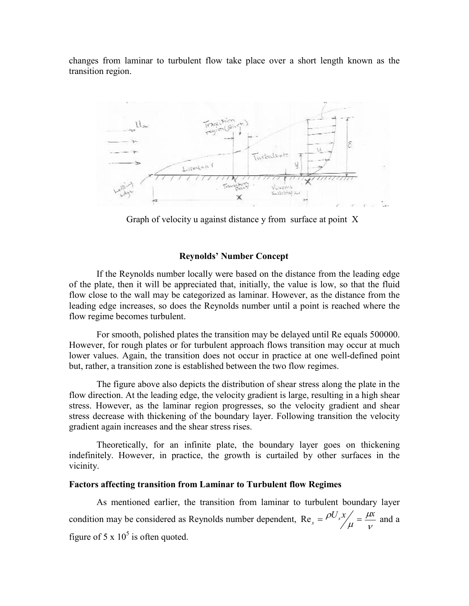changes from laminar to turbulent flow take place over a short length known as the transition region.



Graph of velocity u against distance y from surface at point X

#### **Reynolds' Number Concept**

If the Reynolds number locally were based on the distance from the leading edge of the plate, then it will be appreciated that, initially, the value is low, so that the fluid flow close to the wall may be categorized as laminar. However, as the distance from the leading edge increases, so does the Reynolds number until a point is reached where the flow regime becomes turbulent.

For smooth, polished plates the transition may be delayed until Re equals 500000. However, for rough plates or for turbulent approach flows transition may occur at much lower values. Again, the transition does not occur in practice at one well-defined point but, rather, a transition zone is established between the two flow regimes.

The figure above also depicts the distribution of shear stress along the plate in the flow direction. At the leading edge, the velocity gradient is large, resulting in a high shear stress. However, as the laminar region progresses, so the velocity gradient and shear stress decrease with thickening of the boundary layer. Following transition the velocity gradient again increases and the shear stress rises.

Theoretically, for an infinite plate, the boundary layer goes on thickening indefinitely. However, in practice, the growth is curtailed by other surfaces in the vicinity.

#### **Factors affecting transition from Laminar to Turbulent flow Regimes**

As mentioned earlier, the transition from laminar to turbulent boundary layer condition may be considered as Reynolds number dependent,  $\text{Re}_x = \frac{\rho \sigma_s \lambda}{\mu} = \frac{\mu}{V}$  $\mu$  $\text{Re}_x = \frac{\rho U_s x}{\mu} = \frac{\mu x}{v}$  and a figure of  $5 \times 10^5$  is often quoted.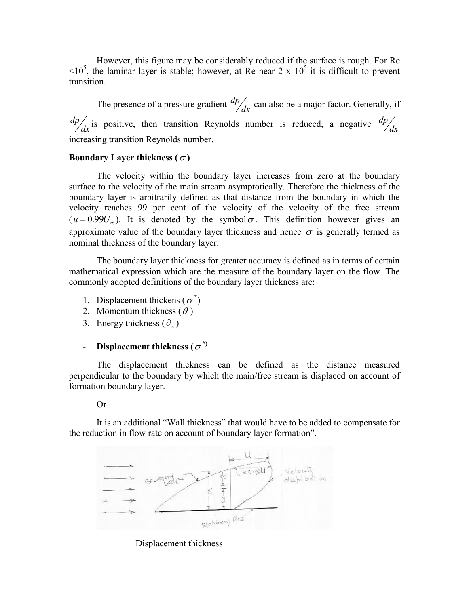However, this figure may be considerably reduced if the surface is rough. For Re  $\leq 10^5$ , the laminar layer is stable; however, at Re near 2 x 10<sup>5</sup> it is difficult to prevent transition.

The presence of a pressure gradient  $\frac{dp}{dx}$  can also be a major factor. Generally, if  $\frac{dp}{dx}$  is positive, then transition Reynolds number is reduced, a negative  $\frac{dp}{dx}$ increasing transition Reynolds number.

## **Boundary Layer thickness (** $\sigma$ **)**

The velocity within the boundary layer increases from zero at the boundary surface to the velocity of the main stream asymptotically. Therefore the thickness of the boundary layer is arbitrarily defined as that distance from the boundary in which the velocity reaches 99 per cent of the velocity of the velocity of the free stream  $(u = 0.99U)$ . It is denoted by the symbol  $\sigma$ . This definition however gives an approximate value of the boundary layer thickness and hence  $\sigma$  is generally termed as nominal thickness of the boundary layer.

The boundary layer thickness for greater accuracy is defined as in terms of certain mathematical expression which are the measure of the boundary layer on the flow. The commonly adopted definitions of the boundary layer thickness are:

- 1. Displacement thickens ( $\sigma^*$ )
- 2. Momentum thickness  $(\theta)$
- 3. Energy thickness  $(\partial_e)$

# **- Displacement thickness** ( $\sigma^*$ )

The displacement thickness can be defined as the distance measured perpendicular to the boundary by which the main/free stream is displaced on account of formation boundary layer.

Or

It is an additional "Wall thickness" that would have to be added to compensate for the reduction in flow rate on account of boundary layer formation".



## Displacement thickness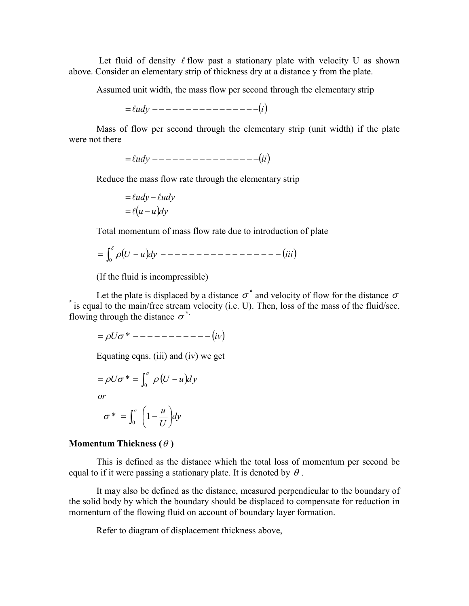Let fluid of density  $\ell$  flow past a stationary plate with velocity U as shown above. Consider an elementary strip of thickness dry at a distance y from the plate.

Assumed unit width, the mass flow per second through the elementary strip

*udy i*

Mass of flow per second through the elementary strip (unit width) if the plate were not there

 $=$   $\ell u dv$  --------------------  $(ii)$ 

Reduce the mass flow rate through the elementary strip

$$
= \ell u dy - \ell u dy
$$

$$
= \ell (u - u) dy
$$

Total momentum of mass flow rate due to introduction of plate

$$
= \int_0^{\delta} \rho (U - u) dy
$$
 ---  $---$  ---  $---$  ---  $(iii)$ 

(If the fluid is incompressible)

Let the plate is displaced by a distance  $\sigma^*$  and velocity of flow for the distance  $\sigma$ **\*** is equal to the main/free stream velocity (i.e. U). Then, loss of the mass of the fluid/sec. flowing through the distance  $\sigma^*$ .

 $= \rho U \sigma^*$  ------------- (*iv*)

Equating eqns. (iii) and (iv) we get

$$
= \rho U \sigma^* = \int_0^{\sigma} \rho (U - u) dy
$$
  
or  

$$
\sigma^* = \int_0^{\sigma} \left(1 - \frac{u}{U}\right) dy
$$

## **Momentum Thickness (** $\theta$ **)**

This is defined as the distance which the total loss of momentum per second be equal to if it were passing a stationary plate. It is denoted by  $\theta$ .

It may also be defined as the distance, measured perpendicular to the boundary of the solid body by which the boundary should be displaced to compensate for reduction in momentum of the flowing fluid on account of boundary layer formation.

Refer to diagram of displacement thickness above,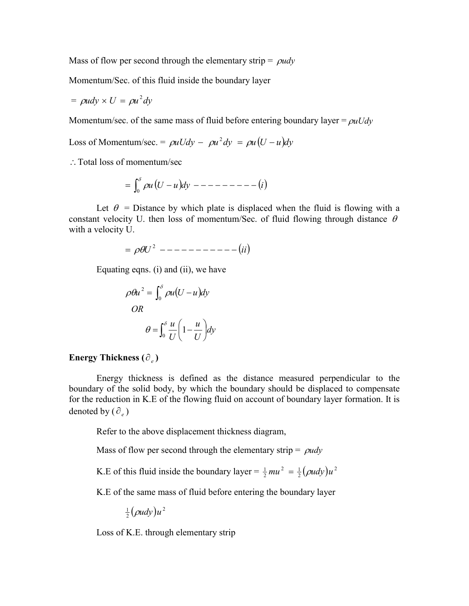Mass of flow per second through the elementary strip =  $\rho u dy$ 

Momentum/Sec. of this fluid inside the boundary layer

$$
= \rho u dy \times U = \rho u^2 dy
$$

Momentum/sec. of the same mass of fluid before entering boundary layer  $= \rho u U dy$ 

Loss of Momentum/sec. =  $\rho uUdv - \rho u^2dy = \rho u(U - u)dy$ 

∴ Total loss of momentum/sec

$$
= \int_0^{\delta} \rho u (U - u) dy - - - - - - - - - - (i)
$$

Let  $\theta$  = Distance by which plate is displaced when the fluid is flowing with a constant velocity U. then loss of momentum/Sec. of fluid flowing through distance  $\theta$ with a velocity U.

$$
=\rho \theta U^2
$$
 --- — — — — — — — — — — — (ii)

Equating eqns. (i) and (ii), we have

$$
\rho \theta u^2 = \int_0^\delta \rho u (U - u) dy
$$
  

$$
OR
$$
  

$$
\theta = \int_0^\delta \frac{u}{U} \left( 1 - \frac{u}{U} \right) dy
$$

## **Energy Thickness**  $(\partial_e)$

Energy thickness is defined as the distance measured perpendicular to the boundary of the solid body, by which the boundary should be displaced to compensate for the reduction in K.E of the flowing fluid on account of boundary layer formation. It is denoted by  $(\partial_e)$ 

Refer to the above displacement thickness diagram,

Mass of flow per second through the elementary strip =  $\rho u dy$ 

K.E of this fluid inside the boundary layer =  $\frac{1}{2}mu^2 = \frac{1}{2}(\rho u dy)u^2$ 

K.E of the same mass of fluid before entering the boundary layer

 $\frac{1}{2}(\rho u dy)u^2$ 

Loss of K.E. through elementary strip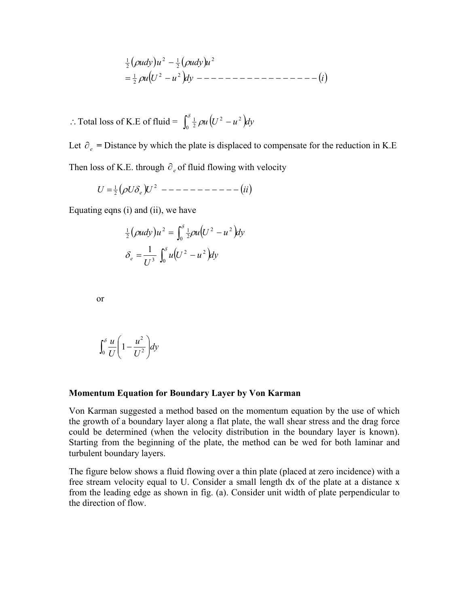*uU u dy i udy u udy u* 2 2 2 1 2 2 2 1 2 1 

: Total loss of K.E of fluid =  $\int_0^{\delta} \frac{1}{2} \rho u (U^2 - u^2)$  $\frac{1}{2}$   $\rho u \left( U^2 - u^2 \right)$ dy

Let  $\partial_e$  = Distance by which the plate is displaced to compensate for the reduction in K.E Then loss of K.E. through  $\partial_e$  of fluid flowing with velocity

$$
U = \frac{1}{2} \left( \rho U \delta_e \right) U^2
$$
 --- --- --- --- (ii)

Equating eqns (i) and (ii), we have

$$
\frac{1}{2}(\rho u dy)u^2 = \int_0^\delta \frac{1}{2}\rho u (U^2 - u^2) dy
$$

$$
\delta_e = \frac{1}{U^3} \int_0^\delta u (U^2 - u^2) dy
$$

or

$$
\int_0^\delta \frac{u}{U} \left(1 - \frac{u^2}{U^2}\right) dy
$$

#### **Momentum Equation for Boundary Layer by Von Karman**

Von Karman suggested a method based on the momentum equation by the use of which the growth of a boundary layer along a flat plate, the wall shear stress and the drag force could be determined (when the velocity distribution in the boundary layer is known). Starting from the beginning of the plate, the method can be wed for both laminar and turbulent boundary layers.

The figure below shows a fluid flowing over a thin plate (placed at zero incidence) with a free stream velocity equal to U. Consider a small length dx of the plate at a distance x from the leading edge as shown in fig. (a). Consider unit width of plate perpendicular to the direction of flow.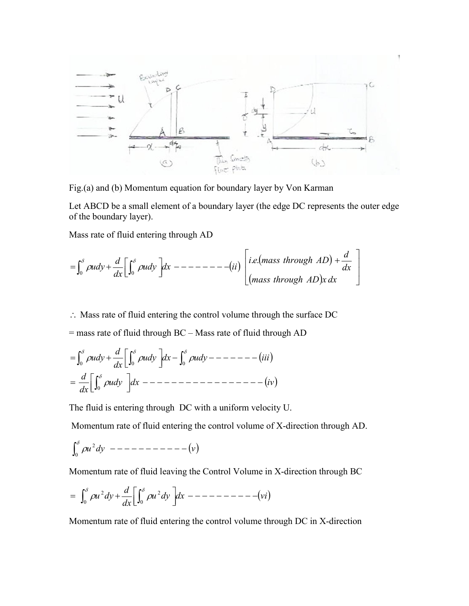

Fig.(a) and (b) Momentum equation for boundary layer by Von Karman

Let ABCD be a small element of a boundary layer (the edge DC represents the outer edge of the boundary layer).

Mass rate of fluid entering through AD

$$
= \int_0^{\delta} \rho u dy + \frac{d}{dx} \left[ \int_0^{\delta} \rho u dy \right] dx
$$
 --- 
$$
- \left[ - \left( - \frac{1}{2} \right) \right] \begin{bmatrix} i.e. (mass \ through \ AD) + \frac{d}{dx} \\ (mass \ through \ AD) x dx \end{bmatrix}
$$

 $\therefore$  Mass rate of fluid entering the control volume through the surface DC

 $=$  mass rate of fluid through BC – Mass rate of fluid through AD

 *udy dx iv dx d udy dx udy iii dx <sup>d</sup> udy* 0 0 0 0

The fluid is entering through DC with a uniform velocity U.

Momentum rate of fluid entering the control volume of X-direction through AD.

$$
\int_0^\delta \rho u^2 dy \ \ --- \ --- \ --- \ --- \ --- \ (v)
$$

Momentum rate of fluid leaving the Control Volume in X-direction through BC

$$
= \int_0^{\delta} \rho u^2 dy + \frac{d}{dx} \left[ \int_0^{\delta} \rho u^2 dy \right] dx - \cdots - \cdots - \cdots - \cdots - \cdots - \cdots - \cdots - \cdots - \cdots
$$

Momentum rate of fluid entering the control volume through DC in X-direction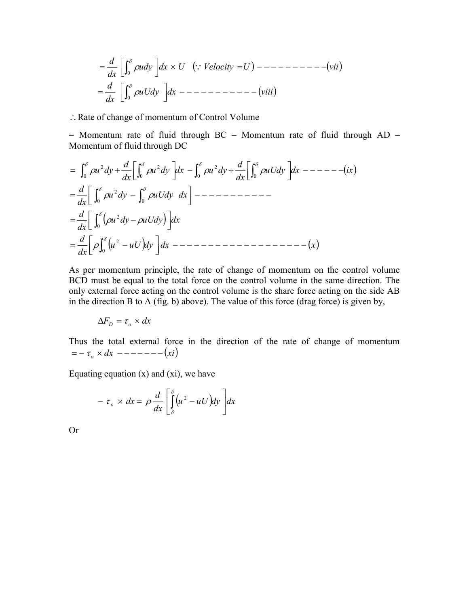*uUdy dx viii dx d udy dx U Velocity U vii dx d* 0 0 

: Rate of change of momentum of Control Volume

 $=$  Momentum rate of fluid through BC – Momentum rate of fluid through AD – Momentum of fluid through DC

$$
= \int_0^{\delta} \rho u^2 dy + \frac{d}{dx} \left[ \int_0^{\delta} \rho u^2 dy \right] dx - \int_0^{\delta} \rho u^2 dy + \frac{d}{dx} \left[ \int_0^{\delta} \rho u U dy \right] dx - \int_0^{\delta} \rho u U dy
$$
  
\n
$$
= \frac{d}{dx} \left[ \int_0^{\delta} \rho u^2 dy - \int_0^{\delta} \rho u U dy \right] dx - \int_0^{\delta} \rho u U dy
$$
  
\n
$$
= \frac{d}{dx} \left[ \int_0^{\delta} (\rho u^2 dy - \rho u U dy) \right] dx
$$
  
\n
$$
= \frac{d}{dx} \left[ \rho \int_0^{\delta} (u^2 - u U) dy \right] dx - \int_0^{\delta} \rho u U dy
$$

As per momentum principle, the rate of change of momentum on the control volume BCD must be equal to the total force on the control volume in the same direction. The only external force acting on the control volume is the share force acting on the side AB in the direction B to A (fig. b) above). The value of this force (drag force) is given by,

$$
\Delta F_D = \tau_o \times dx
$$

Thus the total external force in the direction of the rate of change of momentum  $= - \tau_{o} \times dx$  ------- (xi)

Equating equation  $(x)$  and  $(xi)$ , we have

$$
- \tau_o \times dx = \rho \frac{d}{dx} \left[ \int_{\delta}^{\delta} (u^2 - uU) dy \right] dx
$$

Or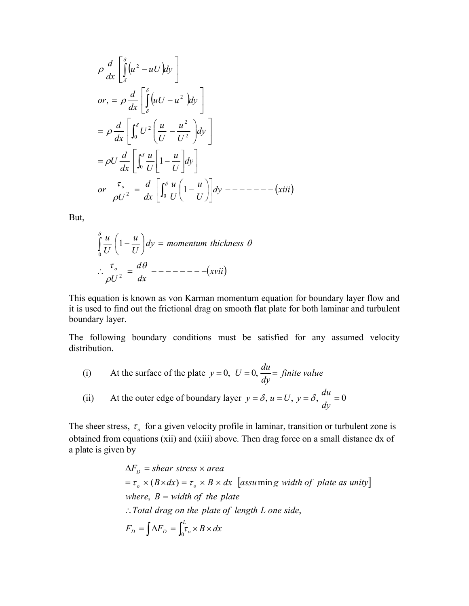$$
\rho \frac{d}{dx} \left[ \int_{\delta}^{\delta} (u^2 - uU) dy \right]
$$
  
\nor,  $= \rho \frac{d}{dx} \left[ \int_{\delta}^{\delta} (uU - u^2) dy \right]$   
\n $= \rho \frac{d}{dx} \left[ \int_{0}^{\delta} U^2 \left( \frac{u}{U} - \frac{u^2}{U^2} \right) dy \right]$   
\n $= \rho U \frac{d}{dx} \left[ \int_{0}^{\delta} \frac{u}{U} \left[ 1 - \frac{u}{U} \right] dy \right]$   
\nor  $\frac{\tau_o}{\rho U^2} = \frac{d}{dx} \left[ \int_{0}^{\delta} \frac{u}{U} \left( 1 - \frac{u}{U} \right) \right] dy$ 

But,

$$
\int_{0}^{\delta} \frac{u}{U} \left( 1 - \frac{u}{U} \right) dy = \text{momentum thickness } \theta
$$
\n
$$
\therefore \frac{\tau_o}{\rho U^2} = \frac{d\theta}{dx} \text{---} \text{---} \text{---} \text{---} \text{(xvii)}
$$

This equation is known as von Karman momentum equation for boundary layer flow and it is used to find out the frictional drag on smooth flat plate for both laminar and turbulent boundary layer.

The following boundary conditions must be satisfied for any assumed velocity distribution.

(i) At the surface of the plate 
$$
y = 0
$$
,  $U = 0$ ,  $\frac{du}{dy} = \text{finite value}$ 

(ii) At the outer edge of boundary layer 
$$
y = \delta
$$
,  $u = U$ ,  $y = \delta$ ,  $\frac{du}{dy} = 0$ 

The sheer stress,  $\tau_o$  for a given velocity profile in laminar, transition or turbulent zone is obtained from equations (xii) and (xiii) above. Then drag force on a small distance dx of a plate is given by

$$
\Delta F_D = shear \, stress \times area
$$
  
=  $\tau_o \times (B \times dx) = \tau_o \times B \times dx$  [assuming width of plate as unity]  
where,  $B = width$  of the plate  
:. Total drag on the plate of length L one side,  

$$
F_D = \int \Delta F_D = \int_0^L \tau_o \times B \times dx
$$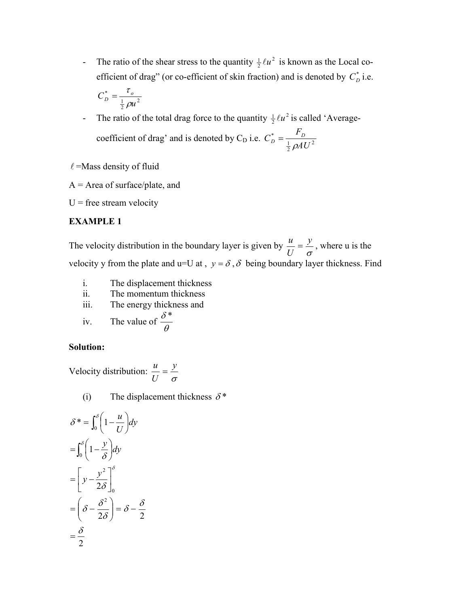- The ratio of the shear stress to the quantity  $\frac{1}{2} \ell u^2$  is known as the Local coefficient of drag" (or co-efficient of skin fraction) and is denoted by  $C_D^*$  i.e.

$$
C_D^* = \frac{\tau_o}{\frac{1}{2}\rho u^2}
$$

- The ratio of the total drag force to the quantity  $\frac{1}{2} \ell u^2$  is called 'Averagecoefficient of drag' and is denoted by C<sub>D</sub> i.e.  $C_D^* = \frac{P_D}{1.24H^2}$  $\frac{1}{2}$ \* *AU*  $C_D^* = \frac{F_D}{\frac{1}{2} \rho A}$ 

 $\ell$ =Mass density of fluid

 $A = Area of surface/plate, and$ 

 $U$  = free stream velocity

# **EXAMPLE 1**

The velocity distribution in the boundary layer is given by  $\frac{u}{U} = \frac{y}{\sigma}$ *y U*  $\frac{u}{\sqrt{u}} = \frac{y}{x}$ , where u is the velocity y from the plate and u=U at ,  $y = \delta$ ,  $\delta$  being boundary layer thickness. Find

- i. The displacement thickness
- ii. The momentum thickness
- iii. The energy thickness and

iv. The value of 
$$
\frac{\delta^*}{\theta}
$$

# **Solution:**

Velocity distribution:  $\frac{u}{U} = \frac{y}{\sigma}$ *y U*  $\frac{u}{\sqrt{u}} =$ 

(i) The displacement thickness  $\delta^*$ 

$$
\delta^* = \int_0^\delta \left(1 - \frac{u}{U}\right) dy
$$

$$
= \int_0^\delta \left(1 - \frac{y}{\delta}\right) dy
$$

$$
= \left[ y - \frac{y^2}{2\delta} \right]_0^\delta
$$

$$
= \left( \delta - \frac{\delta^2}{2\delta} \right) = \delta - \frac{\delta}{2}
$$

$$
= \frac{\delta}{2}
$$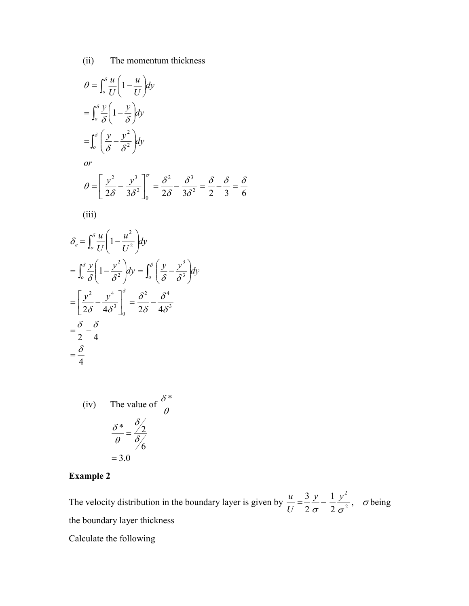(ii) The momentum thickness

$$
\theta = \int_{o}^{s} \frac{u}{U} \left( 1 - \frac{u}{U} \right) dy
$$

$$
= \int_{o}^{s} \frac{y}{\delta} \left( 1 - \frac{y}{\delta} \right) dy
$$

$$
= \int_{o}^{s} \left( \frac{y}{\delta} - \frac{y^{2}}{\delta^{2}} \right) dy
$$
  
or

$$
\theta = \left[\frac{y^2}{2\delta} - \frac{y^3}{3\delta^2}\right]_0^{\sigma} = \frac{\delta^2}{2\delta} - \frac{\delta^3}{3\delta^2} = \frac{\delta}{2} - \frac{\delta}{3} = \frac{\delta}{6}
$$

$$
(iii)
$$

$$
\delta_e = \int_0^{\delta} \frac{u}{U} \left( 1 - \frac{u^2}{U^2} \right) dy
$$
  
\n
$$
= \int_0^{\delta} \frac{y}{\delta} \left( 1 - \frac{y^2}{\delta^2} \right) dy = \int_0^{\delta} \left( \frac{y}{\delta} - \frac{y^3}{\delta^3} \right) dy
$$
  
\n
$$
= \left[ \frac{y^2}{2\delta} - \frac{y^4}{4\delta^3} \right]_0^{\delta} = \frac{\delta^2}{2\delta} - \frac{\delta^4}{4\delta^3}
$$
  
\n
$$
= \frac{\delta}{2} - \frac{\delta}{4}
$$
  
\n
$$
= \frac{\delta}{4}
$$

(iv) The value of 
$$
\frac{\delta^*}{\theta}
$$
  

$$
\frac{\delta^*}{\theta} = \frac{\delta}{\delta/6}
$$

$$
= 3.0
$$

# **Example 2**

The velocity distribution in the boundary layer is given by  $\frac{u}{U} = \frac{3}{2} \frac{y}{\sigma} - \frac{1}{2} \frac{y^2}{\sigma^2}$ , 2 3 2 2 σ 2 σ *y y U*  $\frac{u}{v} = \frac{3}{2} \frac{y}{v} - \frac{1}{2} \frac{y^2}{v^2}$ ,  $\sigma$  being the boundary layer thickness

Calculate the following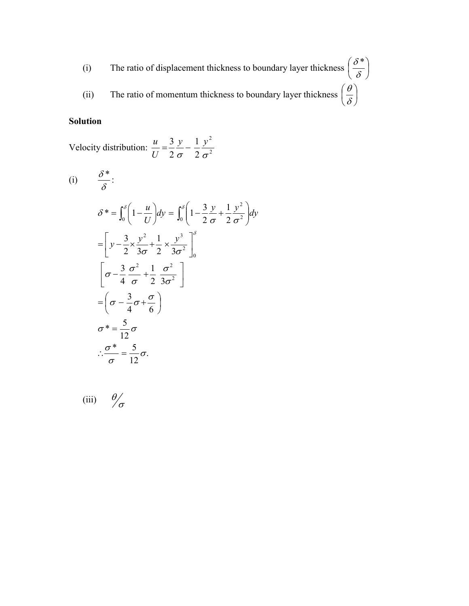(i) The ratio of displacement thickness to boundary layer thickness  $\left| \frac{6}{5} \right|$ J  $\left(\frac{\delta^*}{\delta}\right)$  $\setminus$ ſ  $\delta$  $\delta^*$ (ii) The ratio of momentum thickness to boundary layer thickness  $\left|\frac{z}{s}\right|$  $\bigg)$  $\left(\frac{\theta}{s}\right)$  $\setminus$ ſ δ  $\theta$ 

# **Solution**

Velocity distribution:  $\frac{u}{U} = \frac{3}{2} - \frac{1}{2} \frac{y}{\sigma^2}$ 2 2 1 2 3 σ 2 σ *y y U*  $\frac{u}{\sqrt{u}} = \frac{3}{2} \frac{y}{\sqrt{u}}$ 

(i) 
$$
\frac{\delta^*}{\delta}:
$$
  
\n
$$
\delta^* = \int_0^{\delta} \left(1 - \frac{u}{U}\right) dy = \int_0^{\delta} \left(1 - \frac{3y}{2\sigma} + \frac{1}{2}\frac{y^2}{\sigma^2}\right) dy
$$
  
\n
$$
= \left[ y - \frac{3}{2} \times \frac{y^2}{3\sigma} + \frac{1}{2} \times \frac{y^3}{3\sigma^2} \right]_0^{\delta}
$$
  
\n
$$
\left[ \sigma - \frac{3}{4} \frac{\sigma^2}{\sigma} + \frac{1}{2} \frac{\sigma^2}{3\sigma^2} \right]
$$
  
\n
$$
= \left( \sigma - \frac{3}{4} \sigma + \frac{\sigma}{6} \right)
$$
  
\n
$$
\sigma^* = \frac{5}{12} \sigma
$$
  
\n
$$
\therefore \frac{\sigma^*}{\sigma} = \frac{5}{12} \sigma.
$$

(iii) 
$$
\frac{\theta}{\sigma}
$$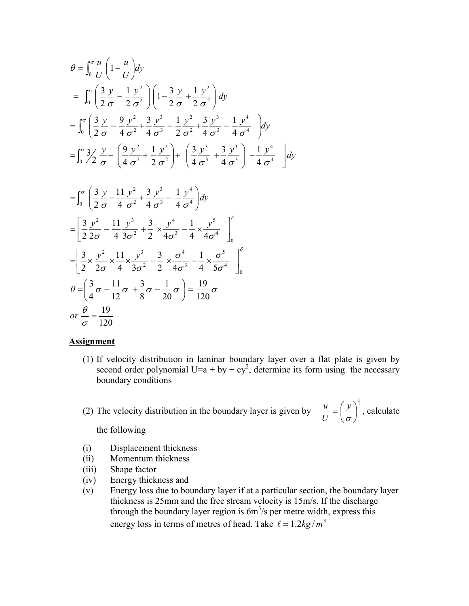$$
\theta = \int_0^{\sigma} \frac{u}{U} \left( 1 - \frac{u}{U} \right) dy
$$
  
\n
$$
= \int_0^{\sigma} \left( \frac{3}{2} \frac{y}{\sigma} - \frac{1}{2} \frac{y^2}{\sigma^2} \right) \left( 1 - \frac{3}{2} \frac{y}{\sigma} + \frac{1}{2} \frac{y^2}{\sigma^2} \right) dy
$$
  
\n
$$
= \int_0^{\sigma} \left( \frac{3}{2} \frac{y}{\sigma} - \frac{9}{4} \frac{y^2}{\sigma^2} + \frac{3}{4} \frac{y^3}{\sigma^3} - \frac{1}{2} \frac{y^2}{\sigma^2} + \frac{3}{4} \frac{y^3}{\sigma^3} - \frac{1}{4} \frac{y^4}{\sigma^4} \right) dy
$$
  
\n
$$
= \int_0^{\sigma} 3/2 \frac{y}{\sigma} - \left( \frac{9}{4} \frac{y^2}{\sigma^2} + \frac{1}{2} \frac{y^2}{\sigma^2} \right) + \left( \frac{3}{4} \frac{y^3}{\sigma^3} + \frac{3}{4} \frac{y^3}{\sigma^3} \right) - \frac{1}{4} \frac{y^4}{\sigma^4} \right] dy
$$

$$
\begin{split}\n&= \int_0^{\sigma} \left( \frac{3}{2} \frac{y}{\sigma} - \frac{11}{4} \frac{y^2}{\sigma^2} + \frac{3}{4} \frac{y^3}{\sigma^3} - \frac{1}{4} \frac{y^4}{\sigma^4} \right) dy \\
&= \left[ \frac{3}{2} \frac{y^2}{2\sigma} - \frac{11}{4} \frac{y^3}{3\sigma^2} + \frac{3}{2} \times \frac{y^4}{4\sigma^3} - \frac{1}{4} \times \frac{y^5}{4\sigma^4} \right]_0^{\sigma} \\
&= \left[ \frac{3}{2} \times \frac{y^2}{2\sigma} \times \frac{11}{4} \times \frac{y^3}{3\sigma^2} + \frac{3}{2} \times \frac{\sigma^4}{4\sigma^3} - \frac{1}{4} \times \frac{\sigma^5}{5\sigma^4} \right]_0^{\sigma} \\
\theta &= \left( \frac{3}{4} \sigma - \frac{11}{12} \sigma + \frac{3}{8} \sigma - \frac{1}{20} \sigma \right) = \frac{19}{120} \sigma \\
or \frac{\theta}{\sigma} &= \frac{19}{120}\n\end{split}
$$

#### **Assignment**

(1) If velocity distribution in laminar boundary layer over a flat plate is given by second order polynomial U=a + by + cy<sup>2</sup>, determine its form using the necessary boundary conditions

(2) The velocity distribution in the boundary layer is given by  $\frac{u}{x} = \left(\frac{y}{x}\right)^{\frac{1}{2}}$  $\overline{\phantom{a}}$ J  $\left(\frac{y}{y}\right)$  $\setminus$  $=\left(\frac{y}{\sigma}\right)$ *y U*  $\frac{u}{\sqrt{u}} = \left(\frac{y}{v}\right)^{\frac{1}{\sqrt{2}}}$ , calculate

the following

- (i) Displacement thickness
- (ii) Momentum thickness
- (iii) Shape factor
- (iv) Energy thickness and
- (v) Energy loss due to boundary layer if at a particular section, the boundary layer thickness is 25mm and the free stream velocity is 15m/s. If the discharge through the boundary layer region is  $6m^3/s$  per metre width, express this energy loss in terms of metres of head. Take  $\ell = 1.2 \text{kg} / \text{m}^3$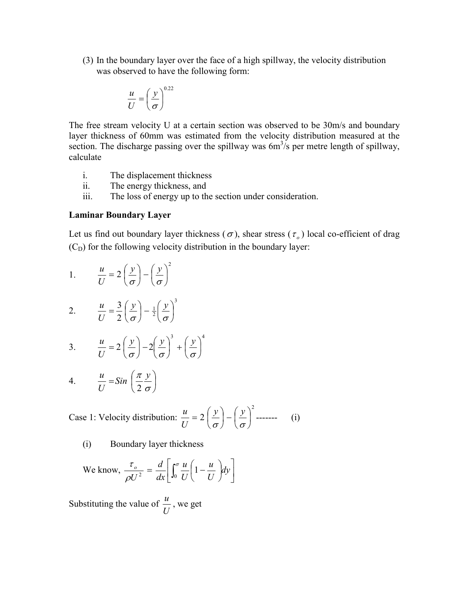(3) In the boundary layer over the face of a high spillway, the velocity distribution was observed to have the following form:

$$
\frac{u}{U} = \left(\frac{y}{\sigma}\right)^{0.22}
$$

The free stream velocity U at a certain section was observed to be 30m/s and boundary layer thickness of 60mm was estimated from the velocity distribution measured at the section. The discharge passing over the spillway was  $6m<sup>3</sup>/s$  per metre length of spillway, calculate

- i. The displacement thickness
- ii. The energy thickness, and
- iii. The loss of energy up to the section under consideration.

## **Laminar Boundary Layer**

Let us find out boundary layer thickness ( $\sigma$ ), shear stress ( $\tau_o$ ) local co-efficient of drag  $(C<sub>D</sub>)$  for the following velocity distribution in the boundary layer:

1. 
$$
\frac{u}{U} = 2\left(\frac{y}{\sigma}\right) - \left(\frac{y}{\sigma}\right)^2
$$

2. 
$$
\frac{u}{U} = \frac{3}{2} \left( \frac{y}{\sigma} \right) - \frac{1}{2} \left( \frac{y}{\sigma} \right)^3
$$

3. 
$$
\frac{u}{U} = 2\left(\frac{y}{\sigma}\right) - 2\left(\frac{y}{\sigma}\right)^3 + \left(\frac{y}{\sigma}\right)^4
$$

4. 
$$
\frac{u}{U} = Sin\left(\frac{\pi}{2}\frac{y}{\sigma}\right)
$$

Case 1: Velocity distribution: 2  $2\left|\frac{y}{z}\right|-\left|\frac{y}{z}\right|$  $\bigg)$  $\left(\frac{y}{y}\right)$  $\setminus$  $\Big| - \Big|$ J  $\left(\frac{y}{y}\right)$  $\setminus$  $=2\left(\frac{y}{\sigma}\right)-\left(\frac{y}{\sigma}\right)$ *y y U*  $\frac{u}{\sqrt{u}} = 2\left(\frac{y}{v}\right) - \left(\frac{y}{v}\right)^2$  ------- (i)

(i) Boundary layer thickness

We know, 
$$
\frac{\tau_o}{\rho U^2} = \frac{d}{dx} \left[ \int_0^{\sigma} \frac{u}{U} \left( 1 - \frac{u}{U} \right) dy \right]
$$

Substituting the value of  $\frac{u}{U}$ , we get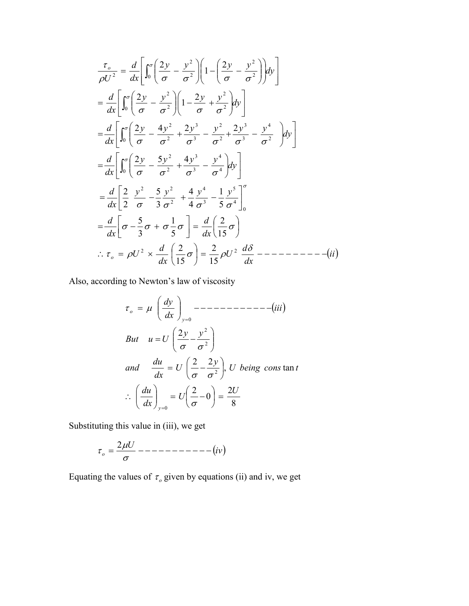$$
\frac{\tau_o}{\rho U^2} = \frac{d}{dx} \left[ \int_0^{\sigma} \left( \frac{2y}{\sigma} - \frac{y^2}{\sigma^2} \right) \left( 1 - \left( \frac{2y}{\sigma} - \frac{y^2}{\sigma^2} \right) \right) dy \right]
$$
\n
$$
= \frac{d}{dx} \left[ \int_0^{\sigma} \left( \frac{2y}{\sigma} - \frac{y^2}{\sigma^2} \right) \left( 1 - \frac{2y}{\sigma} + \frac{y^2}{\sigma^2} \right) dy \right]
$$
\n
$$
= \frac{d}{dx} \left[ \int_0^{\sigma} \left( \frac{2y}{\sigma} - \frac{4y^2}{\sigma^2} + \frac{2y^3}{\sigma^3} - \frac{y^2}{\sigma^2} + \frac{2y^3}{\sigma^3} - \frac{y^4}{\sigma^2} \right) dy \right]
$$
\n
$$
= \frac{d}{dx} \left[ \int_0^{\sigma} \left( \frac{2y}{\sigma} - \frac{5y^2}{\sigma^2} + \frac{4y^3}{\sigma^3} - \frac{y^4}{\sigma^4} \right) dy \right]
$$
\n
$$
= \frac{d}{dx} \left[ \frac{2}{2} \frac{y^2}{\sigma} - \frac{5}{3} \frac{y^2}{\sigma^2} + \frac{4}{4} \frac{y^4}{\sigma^3} - \frac{1}{5} \frac{y^5}{\sigma^4} \right]_0^{\sigma}
$$
\n
$$
= \frac{d}{dx} \left[ \sigma - \frac{5}{3} \sigma + \sigma \frac{1}{5} \sigma \right] = \frac{d}{dx} \left( \frac{2}{15} \sigma \right)
$$
\n
$$
\therefore \tau_o = \rho U^2 \times \frac{d}{dx} \left( \frac{2}{15} \sigma \right) = \frac{2}{15} \rho U^2 \frac{d\delta}{dx} - \frac{1}{15} \rho U^2 \frac{d\delta}{dx} - \frac{1}{15} \rho U^2 \frac{d\delta}{dx} - \frac{1}{15} \rho U^2 \frac{d\delta}{dx} - \frac{1}{15} \rho U^2 \frac{d\delta}{dx} - \frac{1}{15} \rho U^2 \frac{d\delta}{dx} - \frac{1}{
$$

Also, according to Newton's law of viscosity

$$
\tau_o = \mu \left(\frac{dy}{dx}\right)_{y=0} \quad \text{---} \quad \text{---} \quad \text{---} \quad \text{---} \quad \text{---} \quad \text{---} \quad \text{---} \quad \text{---} \quad \text{---} \quad \text{---} \quad \text{---} \quad \text{---} \quad \text{---} \quad \text{---} \quad \text{---} \quad \text{---} \quad \text{---} \quad \text{---} \quad \text{---} \quad \text{---} \quad \text{---} \quad \text{---} \quad \text{---} \quad \text{---} \quad \text{---} \quad \text{---} \quad \text{---} \quad \text{---} \quad \text{---} \quad \text{---} \quad \text{---} \quad \text{---} \quad \text{---} \quad \text{---} \quad \text{---} \quad \text{---} \quad \text{---} \quad \text{---} \quad \text{---} \quad \text{---} \quad \text{---} \quad \text{---} \quad \text{---} \quad \text{---} \quad \text{---} \quad \text{---} \quad \text{---} \quad \text{---} \quad \text{---} \quad \text{---} \quad \text{---} \quad \text{---} \quad \text{---} \quad \text{---} \quad \text{---} \quad \text{---} \quad \text{---} \quad \text{---} \quad \text{---} \quad \text{---} \quad \text{---} \quad \text{---} \quad \text{---} \quad \text{---} \quad \text{---} \quad \text{---} \quad \text{---} \quad \text{---} \quad \text{---} \quad \text{---} \quad \text{---} \quad \text{---} \quad \text{---} \quad \text{---} \quad \text{---} \quad \text{---} \quad \text{---} \quad \text{---} \quad \text{---} \quad \text{---} \quad \text{---} \quad \text{---} \quad \text{---} \quad \text{---} \quad \text{---} \quad \text{---} \quad \text{---} \quad \text{---} \quad \text{---} \quad \text{---} \quad \text{---} \quad \text{---} \quad \text{---} \quad \text{---} \quad \text{---} \quad \text{---} \quad \text{---} \quad \text{---} \quad \text{---} \quad \text{---} \quad \text{---} \quad \text{---} \quad \text{---} \quad \text{---} \quad \text{---} \quad \
$$

Substituting this value in (iii), we get

$$
\tau_o = \frac{2\mu U}{\sigma} \text{---} \text{---} \text{---} \text{---} \text{---} \text{---} \text{div}
$$

Equating the values of  $\tau$ <sub>o</sub> given by equations (ii) and iv, we get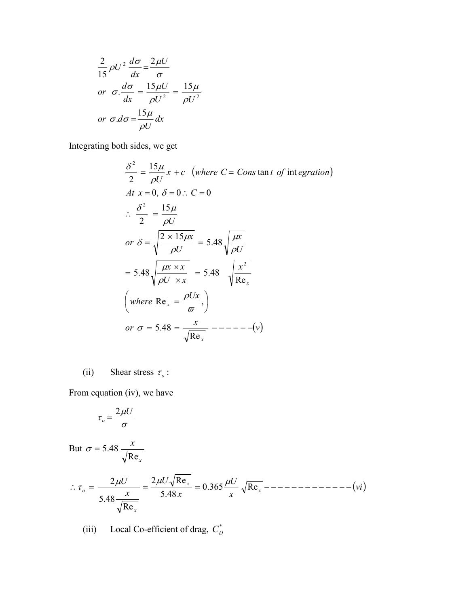$$
\frac{2}{15}\rho U^2 \frac{d\sigma}{dx} = \frac{2\mu U}{\sigma}
$$
  
or  $\sigma \frac{d\sigma}{dx} = \frac{15\mu U}{\rho U^2} = \frac{15\mu}{\rho U^2}$   
or  $\sigma \frac{d\sigma}{dx} = \frac{15\mu}{\rho U} dx$ 

Integrating both sides, we get

 *v <sup>x</sup> or Ux where x U x x x U x U x or U At x C <sup>x</sup> <sup>c</sup> where <sup>C</sup> Cons <sup>t</sup> of egration <sup>U</sup> x x x* Re 5.48 Re , Re 5.48 5.48 5.48 <sup>2</sup> <sup>15</sup> 15 2 0, 0 0 tan int <sup>15</sup> 2 2 2 2 

(ii) Shear stress  $\tau_o$ :

From equation (iv), we have

$$
\tau_o = \frac{2\mu U}{\sigma}
$$

But *x x* Re  $\sigma = 5.48$ 

*vi x U x U x U x x x <sup>o</sup>* 0.365 Re 5.48 2 Re Re 5.48 2

(iii) Local Co-efficient of drag,  $C_D^*$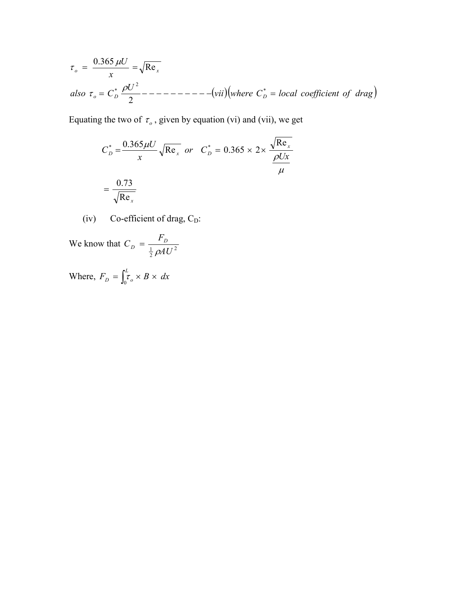$$
\tau_o = \frac{0.365 \,\mu\text{U}}{x} = \sqrt{\text{Re}_x}
$$
\n
$$
also \ \tau_o = C_D^* \frac{\rho U^2}{2} - \frac{\rho}{2} - \frac{\rho}{2} - \frac{\rho}{2} = -\frac{\rho}{2} = -\frac{\rho}{2}
$$
\n
$$
= -\frac{\rho}{2} = -\frac{\rho}{2} = -\frac{\rho}{2} = -\frac{\rho}{2} = -\frac{\rho}{2} = -\frac{\rho}{2} = -\frac{\rho}{2} = -\frac{\rho}{2} = -\frac{\rho}{2} = -\frac{\rho}{2} = -\frac{\rho}{2} = -\frac{\rho}{2} = -\frac{\rho}{2} = -\frac{\rho}{2} = -\frac{\rho}{2} = -\frac{\rho}{2} = -\frac{\rho}{2} = -\frac{\rho}{2} = -\frac{\rho}{2} = -\frac{\rho}{2} = -\frac{\rho}{2} = -\frac{\rho}{2} = -\frac{\rho}{2} = -\frac{\rho}{2} = -\frac{\rho}{2} = -\frac{\rho}{2} = -\frac{\rho}{2} = -\frac{\rho}{2} = -\frac{\rho}{2} = -\frac{\rho}{2} = -\frac{\rho}{2} = -\frac{\rho}{2} = -\frac{\rho}{2} = -\frac{\rho}{2} = -\frac{\rho}{2} = -\frac{\rho}{2} = -\frac{\rho}{2} = -\frac{\rho}{2} = -\frac{\rho}{2} = -\frac{\rho}{2} = -\frac{\rho}{2} = -\frac{\rho}{2} = -\frac{\rho}{2} = -\frac{\rho}{2} = -\frac{\rho}{2} = -\frac{\rho}{2} = -\frac{\rho}{2} = -\frac{\rho}{2} = -\frac{\rho}{2} = -\frac{\rho}{2} = -\frac{\rho}{2} = -\frac{\rho}{2} = -\frac{\rho}{2} = -\frac{\rho}{2} = -\frac{\rho}{2} = -\frac{\rho}{2} = -\frac{\rho}{2} = -\frac{\rho}{2} = -\frac{\rho}{2} = -\frac{\rho}{2} = -\frac{\rho}{2} = -\frac{\rho}{2} = -\frac{\rho}{2} = -\frac{\rho}{2} = -\frac{\rho}{2} = -\frac{\rho}{2} = -\frac{\rho}{2} = -\frac{\rho}{2} = -\frac{\rho}{2} = -\frac{\rho}{2} = -\frac{\rho}{2} = -\frac{\rho}{2
$$

Equating the two of  $\tau_o$ , given by equation (vi) and (vii), we get

$$
C_D^* = \frac{0.365 \mu U}{x} \sqrt{\text{Re}_x} \text{ or } C_D^* = 0.365 \times 2 \times \frac{\sqrt{\text{Re}_x}}{\mu}
$$

$$
= \frac{0.73}{\sqrt{\text{Re}_x}}
$$

(iv) Co-efficient of drag,  $C_D$ :

We know that  $C_D = \frac{1}{1} \frac{B}{24LI^2}$  $\frac{1}{2}$   $\rho$ AU  $C_D = \frac{F_D}{\frac{1}{2}\rho A l}$ 

Where,  $F_D = \int_0^L \tau_o \times B \times dx$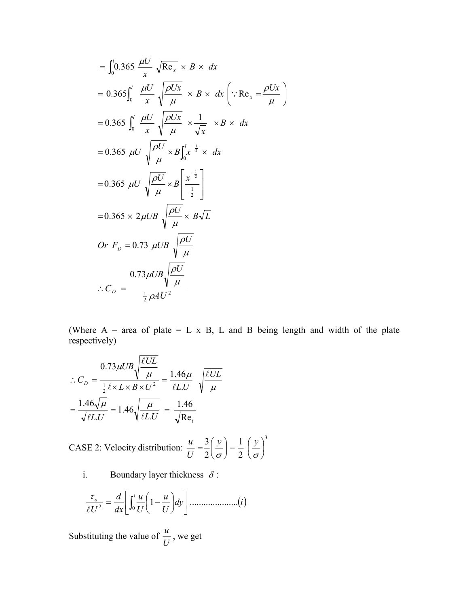$$
= \int_{0}^{l} 0.365 \frac{\mu U}{x} \sqrt{\text{Re}_{x}} \times B \times dx
$$
  
\n
$$
= 0.365 \int_{0}^{l} \frac{\mu U}{x} \sqrt{\frac{\rho Ux}{\mu}} \times B \times dx \left( \because \text{Re}_{x} = \frac{\rho Ux}{\mu} \right)
$$
  
\n
$$
= 0.365 \int_{0}^{l} \frac{\mu U}{x} \sqrt{\frac{\rho Ux}{\mu}} \times \frac{1}{\sqrt{x}} \times B \times dx
$$
  
\n
$$
= 0.365 \mu U \sqrt{\frac{\rho U}{\mu}} \times B \int_{0}^{l} x^{-\frac{1}{2}} \times dx
$$
  
\n
$$
= 0.365 \mu U \sqrt{\frac{\rho U}{\mu}} \times B \left[ \frac{x^{-\frac{1}{2}}}{\frac{1}{2}} \right]
$$
  
\n
$$
= 0.365 \times 2 \mu UB \sqrt{\frac{\rho U}{\mu}} \times B\sqrt{L}
$$
  
\n
$$
Or F_{D} = 0.73 \mu UB \sqrt{\frac{\rho U}{\mu}}
$$
  
\n
$$
\therefore C_{D} = \frac{0.73 \mu UB \sqrt{\frac{\rho U}{\mu}}}{\frac{1}{2} \rho A U^{2}}
$$

(Where  $A$  – area of plate = L x B, L and B being length and width of the plate respectively)

$$
\therefore C_D = \frac{0.73 \mu UB \sqrt{\frac{\ell UL}{\mu}}}{\frac{1}{2} \ell \times L \times B \times U^2} = \frac{1.46 \mu}{\ell LU} \sqrt{\frac{\ell UL}{\mu}}
$$

$$
= \frac{1.46 \sqrt{\mu}}{\sqrt{\ell LU}} = 1.46 \sqrt{\frac{\mu}{\ell LU}} = \frac{1.46}{\sqrt{\text{Re}_l}}
$$

CASE 2: Velocity distribution: 3 2 1 2  $\frac{3}{2} \left( \frac{y}{z} \right) - \frac{1}{2} \left( \frac{y}{z} \right)$  $\bigg)$  $\left(\frac{y}{y}\right)$  $\setminus$  $-\frac{1}{2}$ J  $\left(\frac{y}{y}\right)$  $\setminus$  $=\frac{3}{2}\left(\frac{y}{\sigma}\right)-\frac{1}{2}\left(\frac{y}{\sigma}\right)$ *y y U u*

i. Boundary layer thickness  $\delta$ :

*dy i <sup>U</sup> u U u dx d U <sup>l</sup> <sup>o</sup>* <sup>1</sup> ..................... <sup>0</sup> <sup>2</sup> 

Substituting the value of  $\frac{u}{U}$ , we get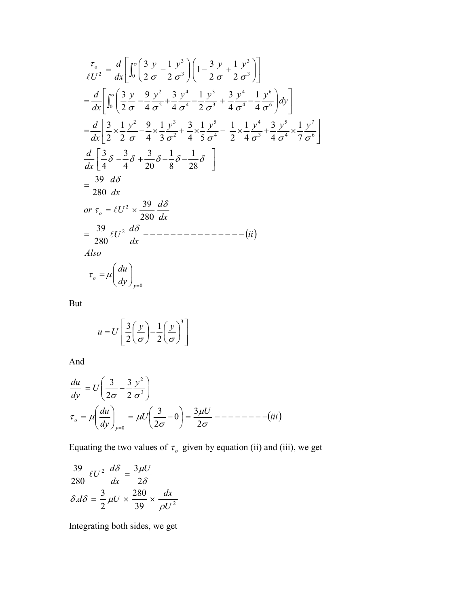$$
\frac{\tau_o}{\ell U^2} = \frac{d}{dx} \left[ \int_0^{\sigma} \left( \frac{3}{2} \frac{y}{\sigma} - \frac{1}{2} \frac{y^3}{\sigma^3} \right) \left( 1 - \frac{3}{2} \frac{y}{\sigma} + \frac{1}{2} \frac{y^3}{\sigma^3} \right) \right]
$$
\n
$$
= \frac{d}{dx} \left[ \int_0^{\sigma} \left( \frac{3}{2} \frac{y}{\sigma} - \frac{9}{4} \frac{y^2}{\sigma^2} + \frac{3}{4} \frac{y^4}{\sigma^4} - \frac{1}{2} \frac{y^3}{\sigma^3} + \frac{3}{4} \frac{y^4}{\sigma^4} - \frac{1}{4} \frac{y^6}{\sigma^6} \right) dy \right]
$$
\n
$$
= \frac{d}{dx} \left[ \frac{3}{2} \times \frac{1}{2} \frac{y^2}{\sigma} - \frac{9}{4} \times \frac{1}{3} \frac{y^3}{\sigma^2} + \frac{3}{4} \times \frac{1}{5} \frac{y^5}{\sigma^4} - \frac{1}{2} \times \frac{1}{4} \frac{y^4}{\sigma^3} + \frac{3}{4} \frac{y^5}{\sigma^4} \times \frac{1}{7} \frac{y^7}{\sigma^6} \right]
$$
\n
$$
= \frac{d}{dx} \left[ \frac{3}{4} \delta - \frac{3}{4} \delta + \frac{3}{20} \delta - \frac{1}{8} \delta - \frac{1}{28} \delta \right]
$$
\n
$$
= \frac{39}{280} \frac{d \delta}{dx}
$$
\nor  $\tau_o = \ell U^2 \times \frac{39}{280} \frac{d \delta}{dx}$ \n
$$
= \frac{39}{280} \ell U^2 \frac{d \delta}{dx} \text{---}
$$
\n
$$
= \frac{39}{280} \ell U^2 \frac{d \delta}{dx} \text{---}
$$
\n
$$
= \frac{d}{dy} \left( \frac{du}{dy} \right)_{y=0}
$$

But

$$
u = U \left[ \frac{3}{2} \left( \frac{y}{\sigma} \right) - \frac{1}{2} \left( \frac{y}{\sigma} \right)^3 \right]
$$

And

$$
\frac{du}{dy} = U\left(\frac{3}{2\sigma} - \frac{3}{2}\frac{y^2}{\sigma^3}\right)
$$
\n
$$
\tau_o = \mu \left(\frac{du}{dy}\right)_{y=0} = \mu U\left(\frac{3}{2\sigma} - 0\right) = \frac{3\mu U}{2\sigma} - \frac{3\mu U}{2\sigma} - \frac{3\mu U}{2\sigma} - \frac{3\mu U}{2\sigma} - \frac{3\mu U}{2\sigma} - \frac{3\mu U}{2\sigma} - \frac{3\mu U}{2\sigma} - \frac{3\mu U}{2\sigma} - \frac{3\mu U}{2\sigma} - \frac{3\mu U}{2\sigma} - \frac{3\mu U}{2\sigma} - \frac{3\mu U}{2\sigma} - \frac{3\mu U}{2\sigma} - \frac{3\mu U}{2\sigma} - \frac{3\mu U}{2\sigma} - \frac{3\mu U}{2\sigma} - \frac{3\mu U}{2\sigma} - \frac{3\mu U}{2\sigma} - \frac{3\mu U}{2\sigma} - \frac{3\mu U}{2\sigma} - \frac{3\mu U}{2\sigma} - \frac{3\mu U}{2\sigma} - \frac{3\mu U}{2\sigma} - \frac{3\mu U}{2\sigma} - \frac{3\mu U}{2\sigma} - \frac{3\mu U}{2\sigma} - \frac{3\mu U}{2\sigma} - \frac{3\mu U}{2\sigma} - \frac{3\mu U}{2\sigma} - \frac{3\mu U}{2\sigma} - \frac{3\mu U}{2\sigma} - \frac{3\mu U}{2\sigma} - \frac{3\mu U}{2\sigma} - \frac{3\mu U}{2\sigma} - \frac{3\mu U}{2\sigma} - \frac{3\mu U}{2\sigma} - \frac{3\mu U}{2\sigma} - \frac{3\mu U}{2\sigma} - \frac{3\mu U}{2\sigma} - \frac{3\mu U}{2\sigma} - \frac{3\mu U}{2\sigma} - \frac{3\mu U}{2\sigma} - \frac{3\mu U}{2\sigma} - \frac{3\mu U}{2\sigma} - \frac{3\mu U}{2\sigma} - \frac{3\mu U}{2\sigma} - \frac{3\mu U}{2\sigma} - \frac{3\mu U}{2\sigma} - \frac{3\mu U}{2\sigma} - \frac{3\mu U}{2\sigma} - \frac{3\mu U}{2\sigma} - \frac{3
$$

Equating the two values of  $\tau_o$  given by equation (ii) and (iii), we get

$$
\frac{39}{280} \ell U^2 \frac{d\delta}{dx} = \frac{3\mu U}{2\delta}
$$

$$
\delta. d\delta = \frac{3}{2} \mu U \times \frac{280}{39} \times \frac{dx}{\rho U^2}
$$

Integrating both sides, we get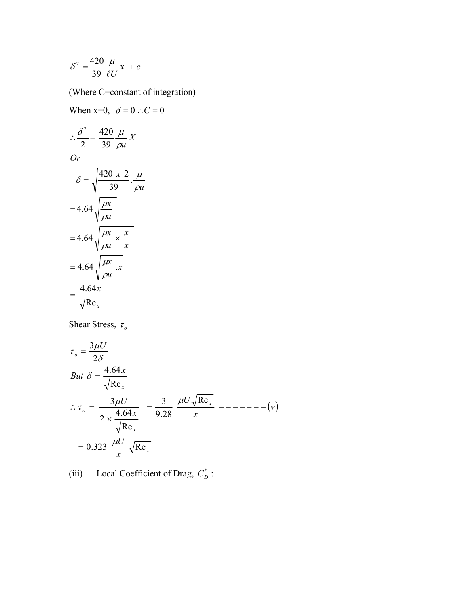$$
\delta^2 = \frac{420}{39} \frac{\mu}{\ell U} x + c
$$

When  $x=0$ ,  $\delta = 0$   $\therefore C = 0$ 

(Where C=constant of integration)

*x x x u*  $=4.64\sqrt{\frac{\mu x}{m}}$ . *x x u*  $=4.64\sqrt{\frac{\mu x}{\lambda}}\times$ *u*  $=4.64 \sqrt{\frac{\mu x}{2}}$ *u*  $=\sqrt{\frac{420 \times 2}{39}}$ . *Or X u* 39 Re  $=\frac{4.64}{\sqrt{2}}$ 420 2 2  $\therefore \frac{6}{2}$  $\rho$ i  $\mu$  $\rho$  $\mu$  $\rho$  $\mu$  $\rho$ i  $\delta = \frac{420 \times 2}{ } \cdot \frac{\mu}{ }$  $\rho$  $\delta^2$  420  $\mu$ 

Shear Stress,  $\tau_o$ 

$$
\tau_o = \frac{3\mu U}{2\delta}
$$
  
\nBut  $\delta = \frac{4.64x}{\sqrt{\text{Re}_x}}$   
\n
$$
\therefore \tau_o = \frac{3\mu U}{2 \times \frac{4.64x}{\sqrt{\text{Re}_x}}} = \frac{3}{9.28} \frac{\mu U \sqrt{\text{Re}_x}}{x} = -\frac{3}{9.28 - \frac{4.64x}{\sqrt{\text{Re}_x}}}
$$
  
\n
$$
= 0.323 \frac{\mu U}{x} \sqrt{\text{Re}_x}
$$

(iii) Local Coefficient of Drag,  $C_D^*$ :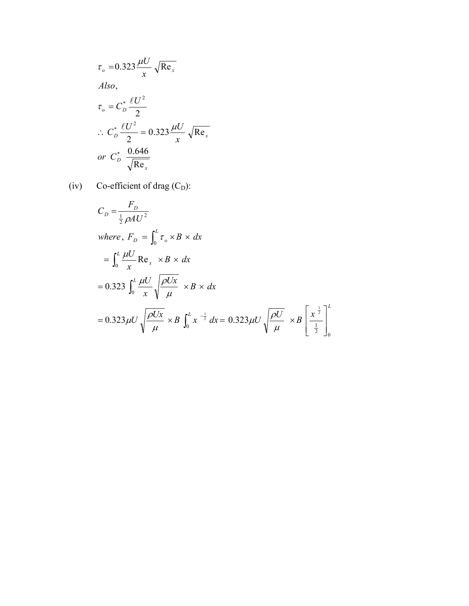$$
\tau_o = 0.323 \frac{\mu U}{x} \sqrt{\text{Re}_x}
$$
  
Also,  

$$
\tau_o = C_D^* \frac{\ell U^2}{2}
$$
  

$$
\therefore C_D^* \frac{\ell U^2}{2} = 0.323 \frac{\mu U}{x} \sqrt{\text{Re}_x}
$$
  
or  $C_D^* \frac{0.646}{\sqrt{\text{Re}_x}}$ 

(iv) Co-efficient of drag  $(C_D)$ :

$$
C_D = \frac{F_D}{\frac{1}{2}\rho A U^2}
$$
  
\nwhere,  $F_D = \int_0^L \tau_o \times B \times dx$   
\n
$$
= \int_0^L \frac{\mu U}{x} \text{Re}_x \times B \times dx
$$
  
\n
$$
= 0.323 \int_0^L \frac{\mu U}{x} \sqrt{\frac{\rho U x}{\mu}} \times B \times dx
$$
  
\n
$$
= 0.323 \mu U \sqrt{\frac{\rho U x}{\mu}} \times B \int_0^L x^{-\frac{1}{2}} dx = 0.323 \mu U \sqrt{\frac{\rho U}{\mu}} \times B \left[\frac{x^{\frac{1}{2}}}{\frac{1}{2}}\right]_0^L
$$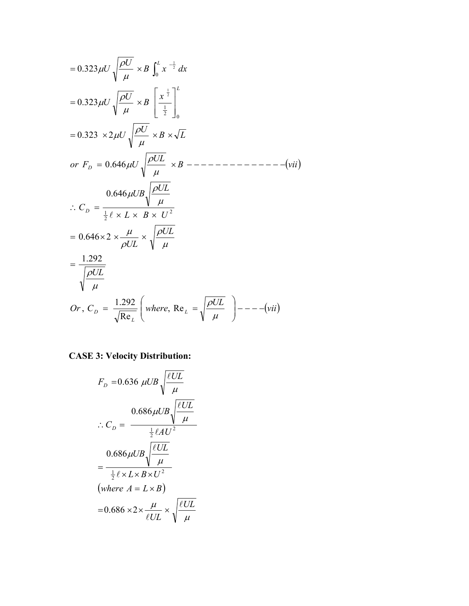*vii UL Or <sup>C</sup> where UL UL UL L B U UL UB C <sup>B</sup> vii UL or F U <sup>B</sup> <sup>L</sup> <sup>U</sup> <sup>U</sup> <sup>x</sup> <sup>B</sup> <sup>U</sup> <sup>U</sup> <sup>B</sup> <sup>x</sup> dx <sup>U</sup> <sup>U</sup> L L D D D L L* , Re Re 1.292 , 1.292 0.646 2 0.646 0.646 0.323 2 0.323 0.323 2 2 1 <sup>0</sup> <sup>2</sup> 1 0 2 1 2 1 

# **CASE 3: Velocity Distribution:**

$$
F_D = 0.636 \ \mu \text{UB} \sqrt{\frac{\ell \text{UL}}{\mu}}
$$
\n
$$
\therefore C_D = \frac{0.686 \mu \text{UB} \sqrt{\frac{\ell \text{UL}}{\mu}}}{\frac{1}{2} \ell A \text{U}^2}
$$
\n
$$
= \frac{0.686 \mu \text{UB} \sqrt{\frac{\ell \text{UL}}{\mu}}}{\frac{1}{2} \ell \times L \times B \times U^2}
$$
\n(where  $A = L \times B$ )\n
$$
= 0.686 \times 2 \times \frac{\mu}{\ell \text{UL}} \times \sqrt{\frac{\ell \text{UL}}{\mu}}
$$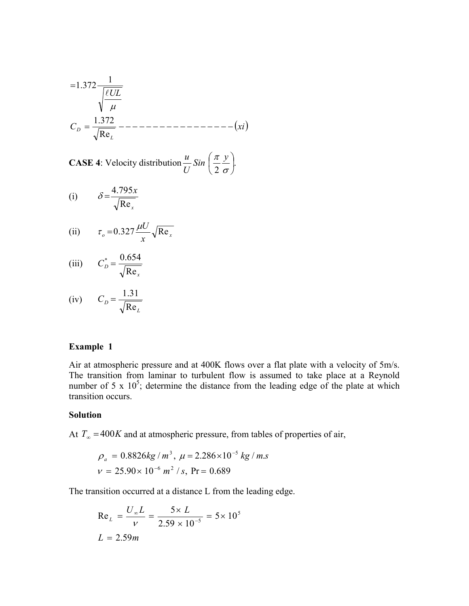*C xi UL L <sup>D</sup>* Re 1.372 <sup>1</sup> 1.372 

**CASE 4**: Velocity distribution  $\frac{a}{U}$  Sin  $\left(\frac{\pi}{2} \frac{y}{\sigma}\right)$ .  $\left(\frac{\pi y}{2}\right)$  $\setminus$ ſ  $Sin\left(\frac{\pi}{2}\frac{y}{\sigma}\right)$ *U u*

(i) 
$$
\delta = \frac{4.795x}{\sqrt{\text{Re}_x}}
$$

(ii) 
$$
\tau_o = 0.327 \frac{\mu U}{x} \sqrt{\text{Re}_x}
$$

$$
(iii) \tC_D^* = \frac{0.654}{\sqrt{\text{Re}_x}}
$$

(iv) 
$$
C_D = \frac{1.31}{\sqrt{\text{Re}_L}}
$$

### **Example 1**

Air at atmospheric pressure and at 400K flows over a flat plate with a velocity of 5m/s. The transition from laminar to turbulent flow is assumed to take place at a Reynold number of 5 x  $10^5$ ; determine the distance from the leading edge of the plate at which transition occurs.

#### **Solution**

At  $T_{\infty} = 400K$  and at atmospheric pressure, from tables of properties of air,

$$
\rho_a = 0.8826kg/m^3, \ \mu = 2.286 \times 10^{-5} kg/m.s
$$

$$
v = 25.90 \times 10^{-6} m^2 / s, \ \text{Pr} = 0.689
$$

The transition occurred at a distance L from the leading edge.

Re<sub>L</sub> = 
$$
\frac{U_{\infty}L}{v}
$$
 =  $\frac{5 \times L}{2.59 \times 10^{-5}}$  = 5 × 10<sup>5</sup>  
L = 2.59m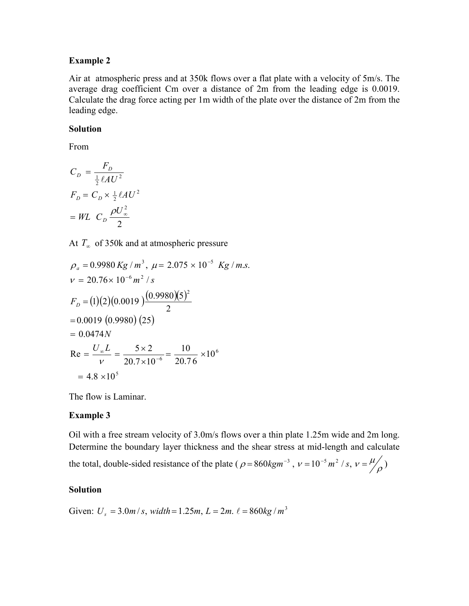## **Example 2**

Air at atmospheric press and at 350k flows over a flat plate with a velocity of 5m/s. The average drag coefficient Cm over a distance of 2m from the leading edge is 0.0019. Calculate the drag force acting per 1m width of the plate over the distance of 2m from the leading edge.

## **Solution**

From

$$
C_D = \frac{F_D}{\frac{1}{2} \ell A U^2}
$$
  
\n
$$
F_D = C_D \times \frac{1}{2} \ell A U^2
$$
  
\n
$$
= WL \quad C_D \frac{\rho U_{\infty}^2}{2}
$$

At  $T_{\infty}$  of 350k and at atmospheric pressure

$$
\rho_a = 0.9980 \, Kg / m^3, \, \mu = 2.075 \times 10^{-5} \, Kg / m.s.\n\nu = 20.76 \times 10^{-6} \, m^2 / s\n\nF_D = (1)(2)(0.0019) \frac{(0.9980)(5)^2}{2}\n= 0.0019 (0.9980) (25)\n= 0.0474N\nRe = \frac{U_{\infty}L}{\nu} = \frac{5 \times 2}{20.7 \times 10^{-6}} = \frac{10}{20.76} \times 10^6\n= 4.8 \times 10^5
$$

The flow is Laminar.

# **Example 3**

Oil with a free stream velocity of 3.0m/s flows over a thin plate 1.25m wide and 2m long. Determine the boundary layer thickness and the shear stress at mid-length and calculate the total, double-sided resistance of the plate ( $\rho = 860 \text{kg} \text{m}^{-3}$ ,  $v = 10^{-5} \text{m}^2 / s$ ,  $v = \frac{\mu}{\rho}$ )

#### **Solution**

Given:  $U_s = 3.0m/s$ , *width* = 1.25*m*,  $L = 2m$ .  $\ell = 860kg/m^3$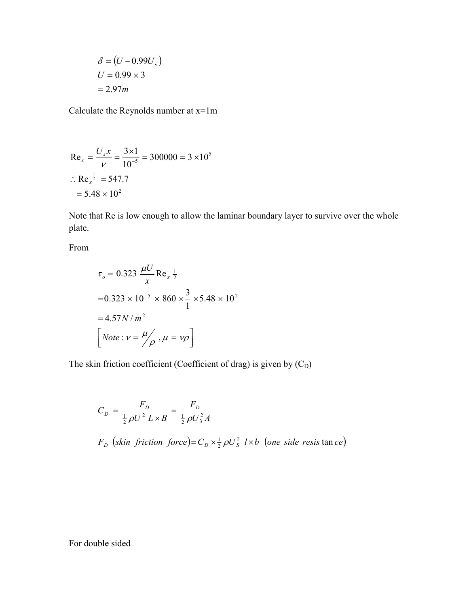$$
\delta = (U - 0.99Us)
$$

$$
U = 0.99 \times 3
$$

$$
= 2.97m
$$

Calculate the Reynolds number at  $x=1m$ 

Re<sub>x</sub> = 
$$
\frac{U_s x}{v} = \frac{3 \times 1}{10^{-5}} = 300000 = 3 \times 10^5
$$
  
\n $\therefore$  Re<sub>x</sub> <sup>$\frac{1}{2}$</sup>  = 547.7  
\n= 5.48 × 10<sup>2</sup>

Note that Re is low enough to allow the laminar boundary layer to survive over the whole plate.

From

$$
\tau_o = 0.323 \frac{\mu U}{x} \text{Re}_x \frac{1}{2}
$$
  
= 0.323 × 10<sup>-5</sup> × 860 ×  $\frac{3}{1}$  × 5.48 × 10<sup>2</sup>  
= 4.57*N* / *m*<sup>2</sup>  

$$
\left[ Note: v = \frac{\mu}{\rho}, \mu = v\rho \right]
$$

The skin friction coefficient (Coefficient of drag) is given by  $(C_D)$ 

$$
C_D = \frac{F_D}{\frac{1}{2}\rho U^2 L \times B} = \frac{F_D}{\frac{1}{2}\rho U_3^2 A}
$$
  

$$
F_D \text{ (skin friction force)} = C_D \times \frac{1}{2}\rho U_S^2 l \times b \text{ (one side resist an ce)}
$$

For double sided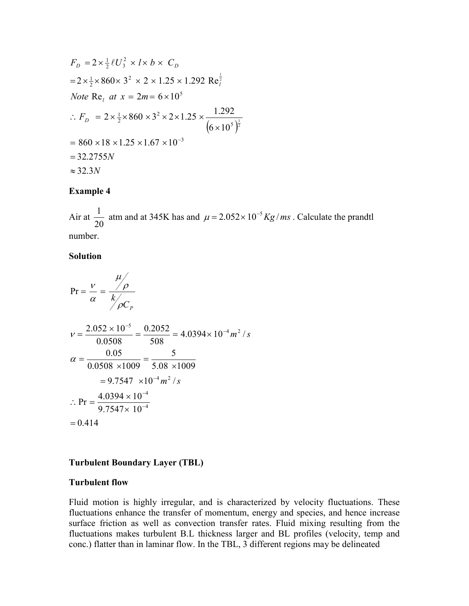$$
F_D = 2 \times \frac{1}{2} \ell U_3^2 \times l \times b \times C_D
$$
  
= 2 \times \frac{1}{2} \times 860 \times 3^2 \times 2 \times 1.25 \times 1.292 \text{ Re}\_i^{\frac{1}{2}}  
Note \text{ Re}\_i at x = 2m = 6 \times 10^5  

$$
\therefore F_D = 2 \times \frac{1}{2} \times 860 \times 3^2 \times 2 \times 1.25 \times \frac{1.292}{(6 \times 10^5)^{\frac{1}{2}}}
$$
  
= 860 \times 18 \times 1.25 \times 1.67 \times 10^{-3}  
= 32.2755N  

$$
\approx 32.3N
$$

## **Example 4**

Air at 20  $\frac{1}{20}$  atm and at 345K has and  $\mu = 2.052 \times 10^{-5}$  Kg/*ms*. Calculate the prandtl number.

### **Solution**

$$
Pr = \frac{v}{\alpha} = \frac{\mu}{k/2}
$$
  
\n
$$
v = \frac{2.052 \times 10^{-5}}{0.0508} = \frac{0.2052}{508} = 4.0394 \times 10^{-4} m^2 / s
$$
  
\n
$$
\alpha = \frac{0.05}{0.0508 \times 1009} = \frac{5}{5.08 \times 1009}
$$
  
\n= 9.7547 × 10<sup>-4</sup> m<sup>2</sup> / s  
\n
$$
\therefore Pr = \frac{4.0394 \times 10^{-4}}{9.7547 \times 10^{-4}}
$$
  
\n= 0.414

# **Turbulent Boundary Layer (TBL)**

## **Turbulent flow**

Fluid motion is highly irregular, and is characterized by velocity fluctuations. These fluctuations enhance the transfer of momentum, energy and species, and hence increase surface friction as well as convection transfer rates. Fluid mixing resulting from the fluctuations makes turbulent B.L thickness larger and BL profiles (velocity, temp and conc.) flatter than in laminar flow. In the TBL, 3 different regions may be delineated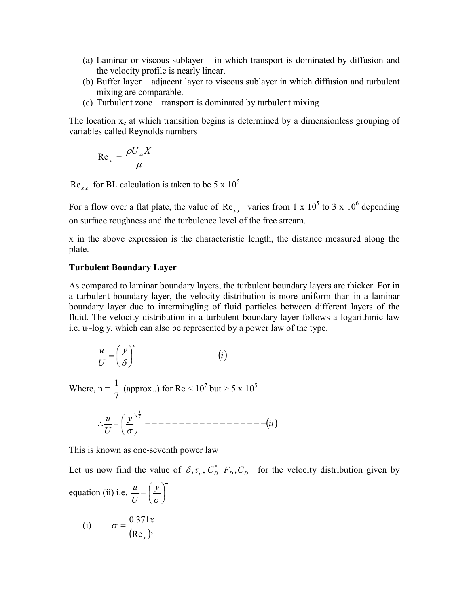- (a) Laminar or viscous sublayer in which transport is dominated by diffusion and the velocity profile is nearly linear.
- (b) Buffer layer adjacent layer to viscous sublayer in which diffusion and turbulent mixing are comparable.
- (c) Turbulent zone transport is dominated by turbulent mixing

The location  $x_c$  at which transition begins is determined by a dimensionless grouping of variables called Reynolds numbers

$$
\text{Re}_x = \frac{\rho U_\infty X}{\mu}
$$

 $Re_{x,c}$  for BL calculation is taken to be 5 x 10<sup>5</sup>

For a flow over a flat plate, the value of  $\text{Re}_{x,c}$  varies from 1 x 10<sup>5</sup> to 3 x 10<sup>6</sup> depending on surface roughness and the turbulence level of the free stream.

x in the above expression is the characteristic length, the distance measured along the plate.

#### **Turbulent Boundary Layer**

As compared to laminar boundary layers, the turbulent boundary layers are thicker. For in a turbulent boundary layer, the velocity distribution is more uniform than in a laminar boundary layer due to intermingling of fluid particles between different layers of the fluid. The velocity distribution in a turbulent boundary layer follows a logarithmic law i.e. u~log y, which can also be represented by a power law of the type.

*i <sup>y</sup> U u <sup>n</sup>* 

Where,  $n = \frac{1}{7}$  (approx..) for Re < 10<sup>7</sup> but > 5 x 10<sup>5</sup> 1

*ii <sup>y</sup> U <sup>u</sup>* <sup>7</sup> 

This is known as one-seventh power law

Let us now find the value of  $\delta$ ,  $\tau_o$ ,  $C_D^*$ ,  $F_D$ ,  $C_D$  for the velocity distribution given by equation (ii) i.e.  $\frac{u}{x} = \left(\frac{y}{x}\right)^{\frac{1}{7}}$  $\overline{\phantom{a}}$ J  $\left(\frac{y}{y}\right)$  $\setminus$  $=\left(\frac{y}{\sigma}\right)$ *y U u*

(i) 
$$
\sigma = \frac{0.371x}{(\text{Re}_x)^{\frac{1}{5}}}
$$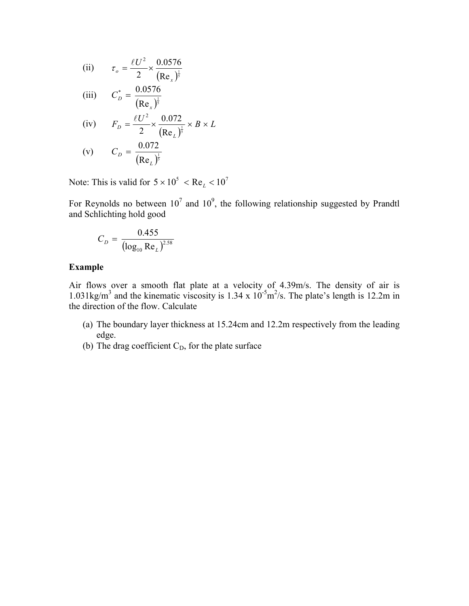(ii) 
$$
\tau_o = \frac{\ell U^2}{2} \times \frac{0.0576}{(\text{Re}_x)^{\frac{1}{5}}}
$$
  
\n(iii) 
$$
C_D^* = \frac{0.0576}{(\text{Re}_x)^{\frac{1}{5}}}
$$
  
\n(iv) 
$$
F_D = \frac{\ell U^2}{2} \times \frac{0.072}{(\text{Re}_L)^{\frac{1}{5}}} \times B \times L
$$
  
\n(v) 
$$
C_D = \frac{0.072}{(\text{Re}_L)^{\frac{1}{5}}}
$$

Note: This is valid for  $5 \times 10^5$  < Re<sub>L</sub> < 10<sup>7</sup>

For Reynolds no between  $10^7$  and  $10^9$ , the following relationship suggested by Prandtl and Schlichting hold good

$$
C_D = \frac{0.455}{(\log_{10} \text{Re}_L)^{2.58}}
$$

## **Example**

Air flows over a smooth flat plate at a velocity of 4.39m/s. The density of air is 1.031kg/m<sup>3</sup> and the kinematic viscosity is 1.34 x  $10^{-5}$ m<sup>2</sup>/s. The plate's length is 12.2m in the direction of the flow. Calculate

- (a) The boundary layer thickness at 15.24cm and 12.2m respectively from the leading edge.
- (b) The drag coefficient  $C_D$ , for the plate surface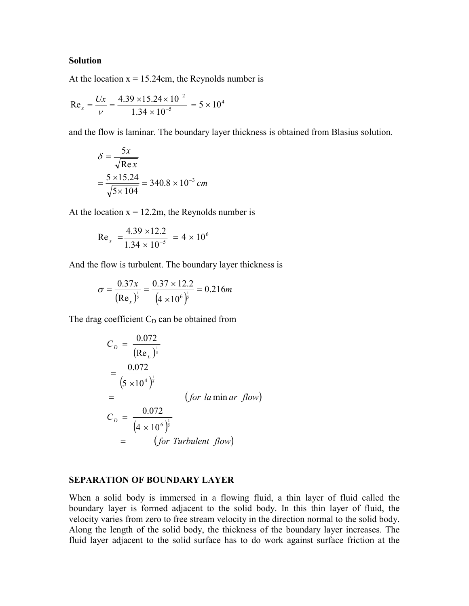## **Solution**

At the location  $x = 15.24$ cm, the Reynolds number is

$$
\text{Re}_x = \frac{Ux}{V} = \frac{4.39 \times 15.24 \times 10^{-2}}{1.34 \times 10^{-5}} = 5 \times 10^4
$$

and the flow is laminar. The boundary layer thickness is obtained from Blasius solution.

$$
\delta = \frac{5x}{\sqrt{\text{Re } x}}
$$
  
=  $\frac{5 \times 15.24}{\sqrt{5 \times 104}} = 340.8 \times 10^{-3} \text{ cm}$ 

At the location  $x = 12.2m$ , the Reynolds number is

Re<sub>x</sub> = 
$$
\frac{4.39 \times 12.2}{1.34 \times 10^{-5}}
$$
 = 4 × 10<sup>6</sup>

And the flow is turbulent. The boundary layer thickness is

$$
\sigma = \frac{0.37x}{(\text{Re}_x)^{\frac{1}{5}}} = \frac{0.37 \times 12.2}{(4 \times 10^6)^{\frac{1}{5}}} = 0.216m
$$

The drag coefficient  $C_D$  can be obtained from

$$
C_D = \frac{0.072}{(Re_L)^{\frac{1}{5}}}
$$
  
=  $\frac{0.072}{(5 \times 10^4)^{\frac{1}{5}}}$  (for la min ar flow)  
 $C_D = \frac{0.072}{(4 \times 10^6)^{\frac{1}{5}}}$   
=  $(for$  *Turbulent flow*)

## **SEPARATION OF BOUNDARY LAYER**

When a solid body is immersed in a flowing fluid, a thin layer of fluid called the boundary layer is formed adjacent to the solid body. In this thin layer of fluid, the velocity varies from zero to free stream velocity in the direction normal to the solid body. Along the length of the solid body, the thickness of the boundary layer increases. The fluid layer adjacent to the solid surface has to do work against surface friction at the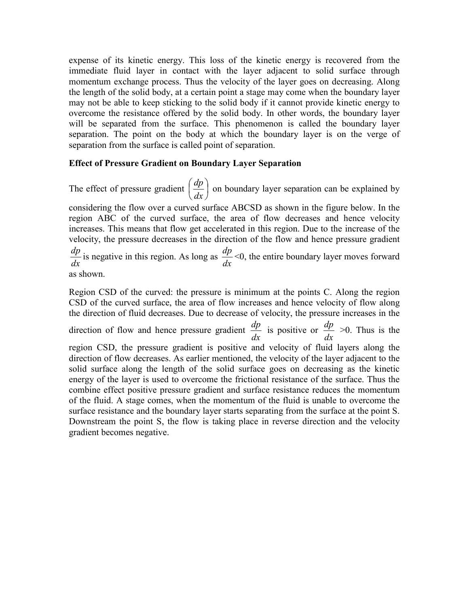expense of its kinetic energy. This loss of the kinetic energy is recovered from the immediate fluid layer in contact with the layer adjacent to solid surface through momentum exchange process. Thus the velocity of the layer goes on decreasing. Along the length of the solid body, at a certain point a stage may come when the boundary layer may not be able to keep sticking to the solid body if it cannot provide kinetic energy to overcome the resistance offered by the solid body. In other words, the boundary layer will be separated from the surface. This phenomenon is called the boundary layer separation. The point on the body at which the boundary layer is on the verge of separation from the surface is called point of separation.

# **Effect of Pressure Gradient on Boundary Layer Separation**

The effect of pressure gradient  $\left| \frac{dp}{dt} \right|$ J  $\left(\frac{dp}{dt}\right)$  $\setminus$ ſ *dx*  $\left(\frac{dp}{dt}\right)$  on boundary layer separation can be explained by

considering the flow over a curved surface ABCSD as shown in the figure below. In the region ABC of the curved surface, the area of flow decreases and hence velocity increases. This means that flow get accelerated in this region. Due to the increase of the velocity, the pressure decreases in the direction of the flow and hence pressure gradient

 $\frac{dp}{dx}$  is negative in this region. As long as  $\frac{dp}{dx}$  <0, the entire boundary layer moves forward

as shown.

Region CSD of the curved: the pressure is minimum at the points C. Along the region CSD of the curved surface, the area of flow increases and hence velocity of flow along the direction of fluid decreases. Due to decrease of velocity, the pressure increases in the direction of flow and hence pressure gradient  $\frac{dp}{dx}$  is positive or  $\frac{dp}{dx} > 0$ . Thus is the region CSD, the pressure gradient is positive and velocity of fluid layers along the direction of flow decreases. As earlier mentioned, the velocity of the layer adjacent to the solid surface along the length of the solid surface goes on decreasing as the kinetic energy of the layer is used to overcome the frictional resistance of the surface. Thus the combine effect positive pressure gradient and surface resistance reduces the momentum of the fluid. A stage comes, when the momentum of the fluid is unable to overcome the surface resistance and the boundary layer starts separating from the surface at the point S. Downstream the point S, the flow is taking place in reverse direction and the velocity gradient becomes negative.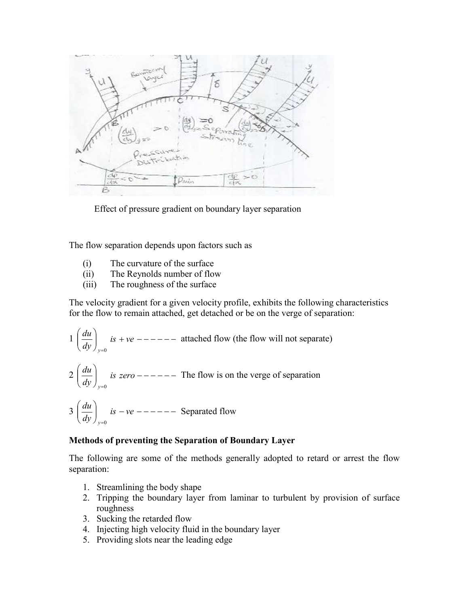

Effect of pressure gradient on boundary layer separation

The flow separation depends upon factors such as

- (i) The curvature of the surface
- (ii) The Reynolds number of flow
- (iii) The roughness of the surface

The velocity gradient for a given velocity profile, exhibits the following characteristics for the flow to remain attached, get detached or be on the verge of separation:

$$
1\left(\frac{du}{dy}\right)_{y=0} \text{ is } +ve
$$
 --- ---- attached flow (the flow will not separate)

$$
2\left(\frac{du}{dy}\right)_{y=0}
$$
 is zero --- – – – – The flow is on the verge of separation

$$
3\left(\frac{du}{dy}\right)_{y=0} \text{ is } -ve
$$
 --- Separated flow

# **Methods of preventing the Separation of Boundary Layer**

The following are some of the methods generally adopted to retard or arrest the flow separation:

- 1. Streamlining the body shape
- 2. Tripping the boundary layer from laminar to turbulent by provision of surface roughness
- 3. Sucking the retarded flow
- 4. Injecting high velocity fluid in the boundary layer
- 5. Providing slots near the leading edge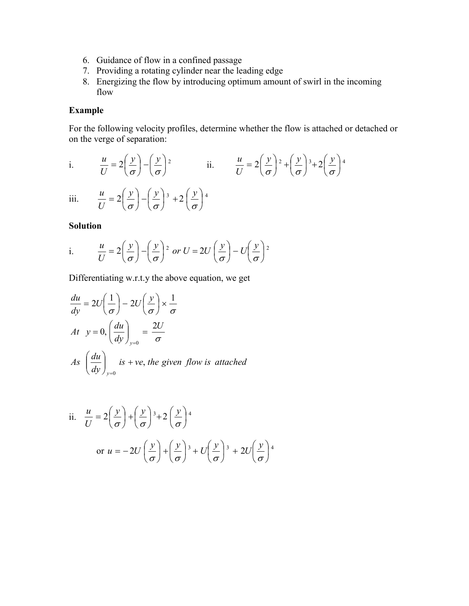- 6. Guidance of flow in a confined passage
- 7. Providing a rotating cylinder near the leading edge
- 8. Energizing the flow by introducing optimum amount of swirl in the incoming flow

# **Example**

For the following velocity profiles, determine whether the flow is attached or detached or on the verge of separation:

i. 
$$
\frac{u}{U} = 2\left(\frac{y}{\sigma}\right) - \left(\frac{y}{\sigma}\right)^2
$$
 ii.  $\frac{u}{U} = 2\left(\frac{y}{\sigma}\right)^2 + \left(\frac{y}{\sigma}\right)^3 + 2\left(\frac{y}{\sigma}\right)^4$   
iii.  $\frac{u}{U} = 2\left(\frac{y}{\sigma}\right) - \left(\frac{y}{\sigma}\right)^3 + 2\left(\frac{y}{\sigma}\right)^4$ 

# **Solution**

i. 
$$
\frac{u}{U} = 2\left(\frac{y}{\sigma}\right) - \left(\frac{y}{\sigma}\right)^2
$$
 or  $U = 2U\left(\frac{y}{\sigma}\right) - U\left(\frac{y}{\sigma}\right)^2$ 

Differentiating w.r.t.y the above equation, we get

$$
\frac{du}{dy} = 2U\left(\frac{1}{\sigma}\right) - 2U\left(\frac{y}{\sigma}\right) \times \frac{1}{\sigma}
$$
  
At  $y = 0$ ,  $\left(\frac{du}{dy}\right)_{y=0} = \frac{2U}{\sigma}$   
As  $\left(\frac{du}{dy}\right)_{y=0}$  is + ve, the given flow is attached

ii. 
$$
\frac{u}{U} = 2\left(\frac{y}{\sigma}\right) + \left(\frac{y}{\sigma}\right)^3 + 2\left(\frac{y}{\sigma}\right)^4
$$
  
or  $u = -2U\left(\frac{y}{\sigma}\right) + \left(\frac{y}{\sigma}\right)^3 + U\left(\frac{y}{\sigma}\right)^3 + 2U\left(\frac{y}{\sigma}\right)^4$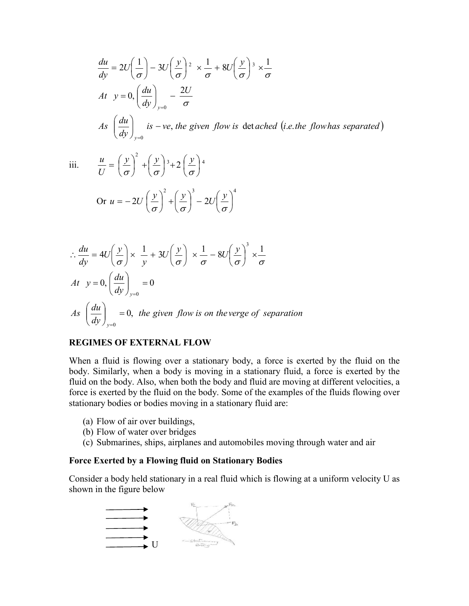$$
\frac{du}{dy} = 2U\left(\frac{1}{\sigma}\right) - 3U\left(\frac{y}{\sigma}\right)^2 \times \frac{1}{\sigma} + 8U\left(\frac{y}{\sigma}\right)^3 \times \frac{1}{\sigma}
$$
\n
$$
At \quad y = 0, \left(\frac{du}{dy}\right)_{y=0} - \frac{2U}{\sigma}
$$
\n
$$
As \quad \left(\frac{du}{dy}\right)_{y=0} \text{ is } -ve, \text{ the given flow is } \text{det } \text{ac } \text{hed } (i.e. \text{ the flow has } \text{ separated})
$$

 $\bigg)$  $\left(\frac{y}{x}\right)$ 

iii. 
$$
\frac{u}{U} = \left(\frac{y}{\sigma}\right)^2 + \left(\frac{y}{\sigma}\right)^3 + 2\left(\frac{y}{\sigma}\right)^4
$$
  
Or  $u = -2U\left(\frac{y}{\sigma}\right)^2 + \left(\frac{y}{\sigma}\right)^3 - 2U\left(\frac{y}{\sigma}\right)^4$ 

$$
\therefore \frac{du}{dy} = 4U\left(\frac{y}{\sigma}\right) \times \frac{1}{y} + 3U\left(\frac{y}{\sigma}\right) \times \frac{1}{\sigma} - 8U\left(\frac{y}{\sigma}\right)^3 \times \frac{1}{\sigma}
$$
  
At  $y = 0$ ,  $\left(\frac{du}{dy}\right)_{y=0} = 0$   
As  $\left(\frac{du}{dy}\right)_{y=0} = 0$ , the given flow is on the verge of separation

# **REGIMES OF EXTERNAL FLOW**

When a fluid is flowing over a stationary body, a force is exerted by the fluid on the body. Similarly, when a body is moving in a stationary fluid, a force is exerted by the fluid on the body. Also, when both the body and fluid are moving at different velocities, a force is exerted by the fluid on the body. Some of the examples of the fluids flowing over stationary bodies or bodies moving in a stationary fluid are:

- (a) Flow of air over buildings,
- (b) Flow of water over bridges
- (c) Submarines, ships, airplanes and automobiles moving through water and air

#### **Force Exerted by a Flowing fluid on Stationary Bodies**

Consider a body held stationary in a real fluid which is flowing at a uniform velocity U as shown in the figure below

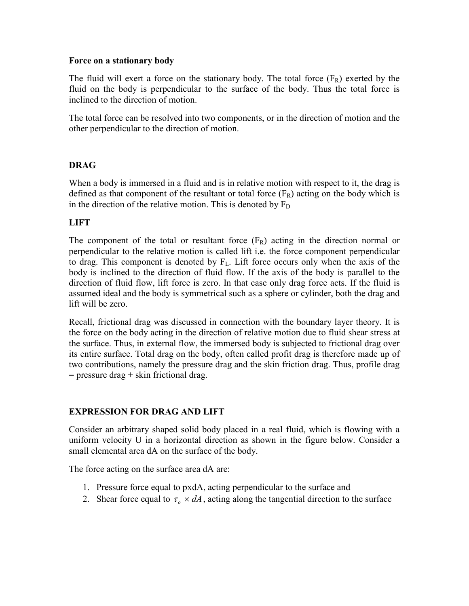## **Force on a stationary body**

The fluid will exert a force on the stationary body. The total force  $(F_R)$  exerted by the fluid on the body is perpendicular to the surface of the body. Thus the total force is inclined to the direction of motion.

The total force can be resolved into two components, or in the direction of motion and the other perpendicular to the direction of motion.

# **DRAG**

When a body is immersed in a fluid and is in relative motion with respect to it, the drag is defined as that component of the resultant or total force  $(F_R)$  acting on the body which is in the direction of the relative motion. This is denoted by  $F_D$ 

# **LIFT**

The component of the total or resultant force  $(F_R)$  acting in the direction normal or perpendicular to the relative motion is called lift i.e. the force component perpendicular to drag. This component is denoted by  $F<sub>L</sub>$ . Lift force occurs only when the axis of the body is inclined to the direction of fluid flow. If the axis of the body is parallel to the direction of fluid flow, lift force is zero. In that case only drag force acts. If the fluid is assumed ideal and the body is symmetrical such as a sphere or cylinder, both the drag and lift will be zero.

Recall, frictional drag was discussed in connection with the boundary layer theory. It is the force on the body acting in the direction of relative motion due to fluid shear stress at the surface. Thus, in external flow, the immersed body is subjected to frictional drag over its entire surface. Total drag on the body, often called profit drag is therefore made up of two contributions, namely the pressure drag and the skin friction drag. Thus, profile drag  $=$  pressure drag  $+$  skin frictional drag.

# **EXPRESSION FOR DRAG AND LIFT**

Consider an arbitrary shaped solid body placed in a real fluid, which is flowing with a uniform velocity U in a horizontal direction as shown in the figure below. Consider a small elemental area dA on the surface of the body.

The force acting on the surface area dA are:

- 1. Pressure force equal to pxdA, acting perpendicular to the surface and
- 2. Shear force equal to  $\tau_o \times dA$ , acting along the tangential direction to the surface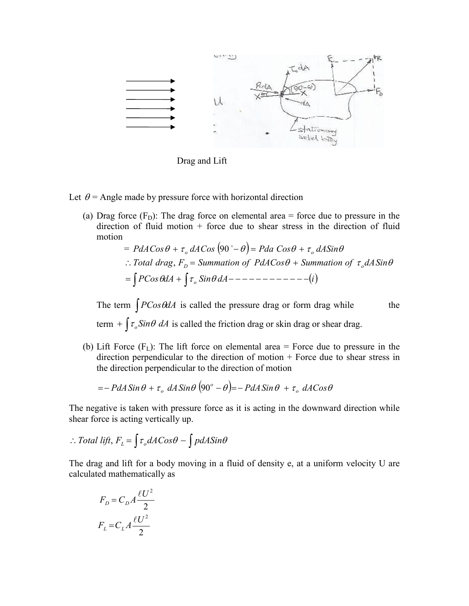

Drag and Lift

- Let  $\theta$  = Angle made by pressure force with horizontal direction
	- (a) Drag force  $(F<sub>D</sub>)$ : The drag force on elemental area = force due to pressure in the direction of fluid motion  $+$  force due to shear stress in the direction of fluid motion
		- $= PdACos\theta + \tau_a dACos(90^\circ \theta) = Pda Cos\theta + \tau_a dASin\theta$  *PCos dA Sin dA i o*  $\therefore$  *Total drag*,  $F_{D}$  = *Summation of PdACos*  $\theta$  *+ Summation of*  $\tau_o dA \sin \theta$

The term  $\int P\cos\theta dA$  is called the pressure drag or form drag while the term  $+ \int \tau_o \sin \theta \, dA$  is called the friction drag or skin drag or shear drag.

(b) Lift Force  $(F<sub>L</sub>)$ : The lift force on elemental area = Force due to pressure in the direction perpendicular to the direction of motion + Force due to shear stress in the direction perpendicular to the direction of motion

$$
=-PdA\sin\theta+\tau_{o}\,dA\sin\theta\,(90^{\circ}-\theta)=-PdA\sin\theta+\tau_{o}\,dA\cos\theta
$$

The negative is taken with pressure force as it is acting in the downward direction while shear force is acting vertically up.

$$
\therefore Total\ lift, F_{L} = \int \tau_{o} dACos\theta - \int pdA Sin\theta
$$

The drag and lift for a body moving in a fluid of density e, at a uniform velocity U are calculated mathematically as

$$
F_D = C_D A \frac{\ell U^2}{2}
$$

$$
F_L = C_L A \frac{\ell U^2}{2}
$$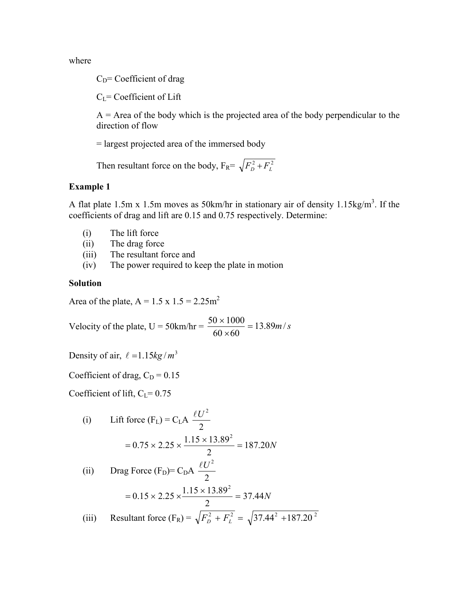where

 $C<sub>D</sub>=$  Coefficient of drag

 $C_{L}$ = Coefficient of Lift

 $A =$  Area of the body which is the projected area of the body perpendicular to the direction of flow

= largest projected area of the immersed body

Then resultant force on the body,  $F_R = \sqrt{F_D^2 + F_L^2}$ 

## **Example 1**

A flat plate 1.5m x 1.5m moves as 50km/hr in stationary air of density 1.15kg/m<sup>3</sup>. If the coefficients of drag and lift are 0.15 and 0.75 respectively. Determine:

- (i) The lift force
- (ii) The drag force
- (iii) The resultant force and
- (iv) The power required to keep the plate in motion

#### **Solution**

Area of the plate,  $A = 1.5 \times 1.5 = 2.25 \text{m}^2$ 

Velocity of the plate,  $U = 50$ km/hr =  $\frac{50 \times 1000}{60 \times 60} = 13.89$ m/*s*  $\frac{50 \times 1000}{60 \times 60}$  =

Density of air,  $\ell = 1.15kg/m^3$ 

Coefficient of drag,  $C_D = 0.15$ 

Coefficient of lift,  $C_{L}$ = 0.75

(i) Lift force (F<sub>L</sub>) = C<sub>L</sub>A 
$$
\frac{\ell U^2}{2}
$$
  
\n= 0.75 × 2.25 ×  $\frac{1.15 × 13.89^2}{2}$  = 187.20N  
\n(ii) Drag Force (F<sub>D</sub>) = C<sub>D</sub>A  $\frac{\ell U^2}{2}$   
\n= 0.15 × 2.25 ×  $\frac{1.15 × 13.89^2}{2}$  = 37.44N  
\n(iii) Resultant force (F<sub>R</sub>) =  $\sqrt{F_D^2 + F_L^2}$  =  $\sqrt{37.44^2 + 187.20^2}$